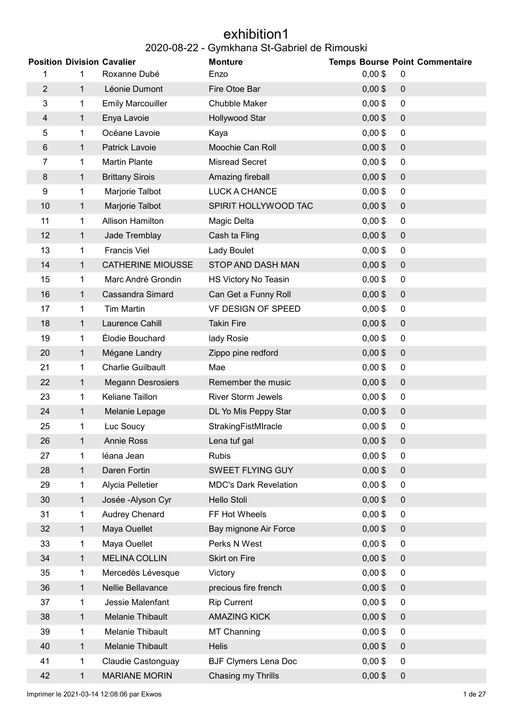### exhibition1 2020-08-22 - Gymkhana St-Gabriel de Rimouski

| <b>Position Division Cavalier</b> |                |                          | <b>Monture</b>               |           | <b>Temps Bourse Point Commentaire</b> |
|-----------------------------------|----------------|--------------------------|------------------------------|-----------|---------------------------------------|
| 1                                 | 1              | Roxanne Dubé             | Enzo                         | $0,00$ \$ | 0                                     |
| $\overline{2}$                    | $\mathbf{1}$   | Léonie Dumont            | Fire Otoe Bar                | $0,00$ \$ | $\pmb{0}$                             |
| 3                                 | 1.             | <b>Emily Marcouiller</b> | <b>Chubble Maker</b>         | $0,00$ \$ | 0                                     |
| $\overline{4}$                    | $\mathbf{1}$   | Enya Lavoie              | Hollywood Star               | $0,00$ \$ | $\pmb{0}$                             |
| 5                                 | 1              | Océane Lavoie            | Kaya                         | $0,00$ \$ | 0                                     |
| $\,6$                             | $\mathbf{1}$   | Patrick Lavoie           | Moochie Can Roll             | $0,00$ \$ | $\pmb{0}$                             |
| 7                                 | $\mathbf 1$    | <b>Martin Plante</b>     | <b>Misread Secret</b>        | $0,00$ \$ | $\pmb{0}$                             |
| 8                                 | $\mathbf{1}$   | <b>Brittany Sirois</b>   | Amazing fireball             | $0,00$ \$ | $\pmb{0}$                             |
| 9                                 | $\mathbf{1}$   | Marjorie Talbot          | LUCK A CHANCE                | $0,00$ \$ | $\pmb{0}$                             |
| 10                                | $\mathbf{1}$   | Marjorie Talbot          | SPIRIT HOLLYWOOD TAC         | $0,00$ \$ | $\pmb{0}$                             |
| 11                                | 1              | Allison Hamilton         | Magic Delta                  | $0,00$ \$ | 0                                     |
| 12                                | 1              | Jade Tremblay            | Cash ta Fling                | $0,00$ \$ | $\mathbf 0$                           |
| 13                                | 1              | <b>Francis Viel</b>      | Lady Boulet                  | $0,00$ \$ | 0                                     |
| 14                                | $\mathbf{1}$   | <b>CATHERINE MIOUSSE</b> | STOP AND DASH MAN            | $0,00$ \$ | $\pmb{0}$                             |
| 15                                | $\mathbf{1}$   | Marc André Grondin       | HS Victory No Teasin         | $0,00$ \$ | 0                                     |
| 16                                | $\mathbf{1}$   | <b>Cassandra Simard</b>  | Can Get a Funny Roll         | $0,00$ \$ | $\pmb{0}$                             |
| 17                                | 1              | <b>Tim Martin</b>        | VF DESIGN OF SPEED           | $0,00$ \$ | 0                                     |
| 18                                | 1              | Laurence Cahill          | <b>Takin Fire</b>            | $0,00$ \$ | $\pmb{0}$                             |
| 19                                | 1              | Élodie Bouchard          | lady Rosie                   | $0,00$ \$ | 0                                     |
| 20                                | $\mathbf{1}$   | Mégane Landry            | Zippo pine redford           | $0,00$ \$ | $\pmb{0}$                             |
| 21                                | 1              | <b>Charlie Guilbault</b> | Mae                          | $0,00$ \$ | 0                                     |
| 22                                | 1              | <b>Megann Desrosiers</b> | Remember the music           | $0,00$ \$ | $\pmb{0}$                             |
| 23                                | 1              | Keliane Taillon          | <b>River Storm Jewels</b>    | $0,00$ \$ | 0                                     |
| 24                                | 1              | Melanie Lepage           | DL Yo Mis Peppy Star         | $0,00$ \$ | $\pmb{0}$                             |
| 25                                | 1              | Luc Soucy                | StrakingFistMIracle          | $0,00$ \$ | $\overline{0}$                        |
| 26                                | $\mathbf{1}$   | Annie Ross               | Lena tuf gal                 | $0,00$ \$ | $\pmb{0}$                             |
| 27                                | $\mathbf{1}$   | léana Jean               | <b>Rubis</b>                 | $0,00$ \$ | 0                                     |
| 28                                | $\mathbf{1}$   | Daren Fortin             | <b>SWEET FLYING GUY</b>      | $0,00$ \$ | $\mathbf 0$                           |
| 29                                | 1              | Alycia Pelletier         | <b>MDC's Dark Revelation</b> | $0,00$ \$ | 0                                     |
| 30                                | 1              | Josée - Alyson Cyr       | Hello Stoli                  | $0,00$ \$ | $\mathbf 0$                           |
| 31                                | 1              | Audrey Chenard           | FF Hot Wheels                | $0,00$ \$ | 0                                     |
| 32                                | $\mathbf{1}$   | Maya Ouellet             | Bay mignone Air Force        | $0,00$ \$ | $\pmb{0}$                             |
| 33                                | 1              | Maya Ouellet             | Perks N West                 | $0,00$ \$ | $\pmb{0}$                             |
| 34                                | $\mathbf{1}$   | <b>MELINA COLLIN</b>     | Skirt on Fire                | $0,00$ \$ | 0                                     |
| 35                                | 1              | Mercedès Lévesque        | Victory                      | $0,00$ \$ | $\overline{0}$                        |
| 36                                | $\mathbf{1}$   | Nellie Bellavance        | precious fire french         | $0,00$ \$ | 0                                     |
| 37                                | 1              | Jessie Malenfant         | <b>Rip Current</b>           | $0,00$ \$ | 0                                     |
| 38                                | $\mathbf{1}$   | Melanie Thibault         | <b>AMAZING KICK</b>          | $0,00$ \$ | 0                                     |
| 39                                | $\mathbf{1}$   | <b>Melanie Thibault</b>  | <b>MT Channing</b>           | $0,00$ \$ | $\overline{0}$                        |
| 40                                | $\overline{1}$ | Melanie Thibault         | <b>Helis</b>                 | $0,00$ \$ | $\pmb{0}$                             |
| 41                                | 1.             | Claudie Castonguay       | <b>BJF Clymers Lena Doc</b>  | $0,00$ \$ | 0                                     |
| 42                                | $\mathbf{1}$   | <b>MARIANE MORIN</b>     | Chasing my Thrills           | $0,00$ \$ | $\boldsymbol{0}$                      |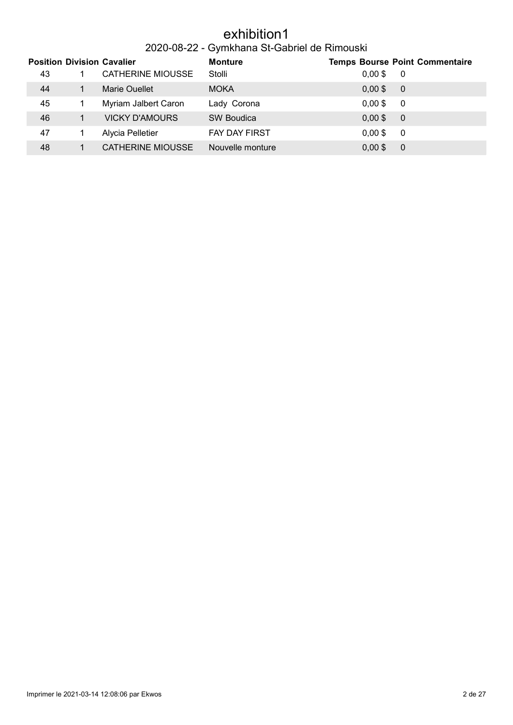### exhibition1

### 2020-08-22 - Gymkhana St-Gabriel de Rimouski

|    | <b>Position Division Cavalier</b> | <b>Monture</b>       |           | <b>Temps Bourse Point Commentaire</b> |
|----|-----------------------------------|----------------------|-----------|---------------------------------------|
| 43 | <b>CATHERINE MIOUSSE</b>          | Stolli               | $0,00$ \$ | - 0                                   |
| 44 | Marie Quellet                     | <b>MOKA</b>          | $0,00$ \$ | - 0                                   |
| 45 | Myriam Jalbert Caron              | Lady Corona          | $0,00$ \$ | - 0                                   |
| 46 | <b>VICKY D'AMOURS</b>             | <b>SW Boudica</b>    | $0,00$ \$ | $\overline{0}$                        |
| 47 | Alycia Pelletier                  | <b>FAY DAY FIRST</b> | $0,00$ \$ | -0                                    |
| 48 | CATHERINE MIOUSSE                 | Nouvelle monture     | $0,00$ \$ | 0                                     |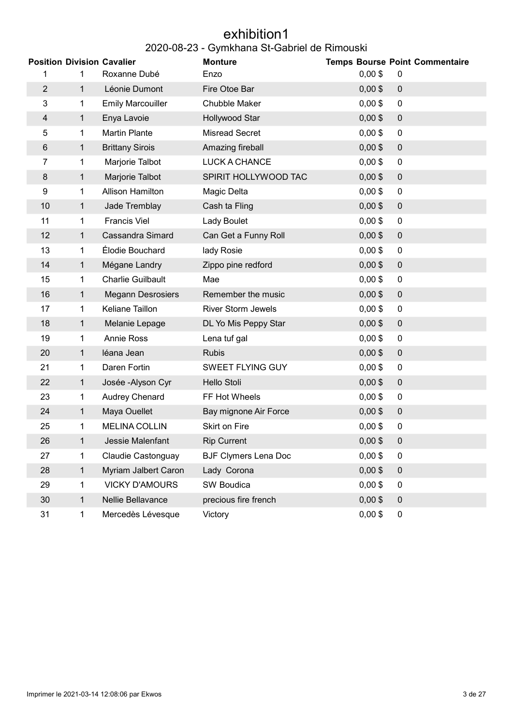#### exhibition1 2020-08-23 - Gymkhana St-Gabriel de Rimouski

|                |              | <b>Position Division Cavalier</b> | <b>Monture</b>              |           | <b>Temps Bourse Point Commentaire</b> |
|----------------|--------------|-----------------------------------|-----------------------------|-----------|---------------------------------------|
|                | 1            | Roxanne Dubé                      | Enzo                        | $0,00$ \$ | 0                                     |
| $\overline{2}$ | $\mathbf{1}$ | Léonie Dumont                     | Fire Otoe Bar               | $0,00$ \$ | $\pmb{0}$                             |
| 3              | 1            | <b>Emily Marcouiller</b>          | Chubble Maker               | $0,00$ \$ | $\pmb{0}$                             |
| 4              | $\mathbf{1}$ | Enya Lavoie                       | Hollywood Star              | $0,00$ \$ | $\mathbf 0$                           |
| 5              | 1            | <b>Martin Plante</b>              | <b>Misread Secret</b>       | $0,00$ \$ | $\mathbf 0$                           |
| 6              | $\mathbf{1}$ | <b>Brittany Sirois</b>            | Amazing fireball            | $0,00$ \$ | $\pmb{0}$                             |
| 7              | 1            | Marjorie Talbot                   | LUCK A CHANCE               | $0,00$ \$ | $\pmb{0}$                             |
| 8              | $\mathbf{1}$ | Marjorie Talbot                   | SPIRIT HOLLYWOOD TAC        | $0,00$ \$ | $\pmb{0}$                             |
| 9              | 1            | Allison Hamilton                  | Magic Delta                 | $0,00$ \$ | $\pmb{0}$                             |
| 10             | $\mathbf{1}$ | Jade Tremblay                     | Cash ta Fling               | $0,00$ \$ | $\mathbf 0$                           |
| 11             | $\mathbf{1}$ | <b>Francis Viel</b>               | Lady Boulet                 | $0,00$ \$ | $\pmb{0}$                             |
| 12             | $\mathbf 1$  | <b>Cassandra Simard</b>           | Can Get a Funny Roll        | $0,00$ \$ | $\pmb{0}$                             |
| 13             | 1            | Élodie Bouchard                   | lady Rosie                  | $0,00$ \$ | $\pmb{0}$                             |
| 14             | $\mathbf{1}$ | Mégane Landry                     | Zippo pine redford          | $0,00$ \$ | $\pmb{0}$                             |
| 15             | 1            | <b>Charlie Guilbault</b>          | Mae                         | $0,00$ \$ | $\pmb{0}$                             |
| 16             | $\mathbf{1}$ | <b>Megann Desrosiers</b>          | Remember the music          | $0,00$ \$ | $\boldsymbol{0}$                      |
| 17             | 1            | Keliane Taillon                   | River Storm Jewels          | $0,00$ \$ | 0                                     |
| 18             | $\mathbf 1$  | Melanie Lepage                    | DL Yo Mis Peppy Star        | $0,00$ \$ | $\boldsymbol{0}$                      |
| 19             | 1            | Annie Ross                        | Lena tuf gal                | $0,00$ \$ | $\mathbf 0$                           |
| 20             | $\mathbf 1$  | léana Jean                        | <b>Rubis</b>                | $0,00$ \$ | $\pmb{0}$                             |
| 21             | $\mathbf{1}$ | Daren Fortin                      | SWEET FLYING GUY            | $0,00$ \$ | $\pmb{0}$                             |
| 22             | $\mathbf{1}$ | Josée - Alyson Cyr                | Hello Stoli                 | $0,00$ \$ | $\boldsymbol{0}$                      |
| 23             | $\mathbf{1}$ | Audrey Chenard                    | FF Hot Wheels               | $0,00$ \$ | $\mathbf 0$                           |
| 24             | 1            | Maya Ouellet                      | Bay mignone Air Force       | $0,00$ \$ | $\pmb{0}$                             |
| 25             | 1            | <b>MELINA COLLIN</b>              | Skirt on Fire               | $0,00$ \$ | $\mathbf 0$                           |
| 26             | 1            | Jessie Malenfant                  | <b>Rip Current</b>          | $0,00$ \$ | $\boldsymbol{0}$                      |
| 27             | 1            | Claudie Castonguay                | <b>BJF Clymers Lena Doc</b> | $0,00$ \$ | $\mathbf 0$                           |
| 28             | $\mathbf{1}$ | Myriam Jalbert Caron              | Lady Corona                 | $0,00$ \$ | $\boldsymbol{0}$                      |
| 29             | $\mathbf{1}$ | <b>VICKY D'AMOURS</b>             | <b>SW Boudica</b>           | $0,00$ \$ | $\mathbf 0$                           |
| 30             | $\mathbf{1}$ | Nellie Bellavance                 | precious fire french        | $0,00$ \$ | $\mathbf 0$                           |
| 31             | 1            | Mercedès Lévesque                 | Victory                     | $0,00$ \$ | 0                                     |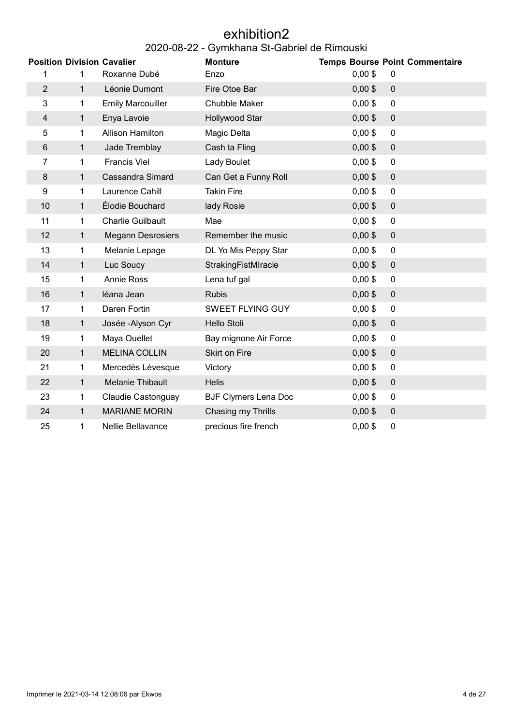#### exhibition2 2020-08-22 - Gymkhana St-Gabriel de Rimouski

|                |              | <b>Position Division Cavalier</b> | <b>Monture</b>              |           | <b>Temps Bourse Point Commentaire</b> |
|----------------|--------------|-----------------------------------|-----------------------------|-----------|---------------------------------------|
| 1              | 1            | Roxanne Dubé                      | Enzo                        | $0,00$ \$ | 0                                     |
| $\overline{2}$ | $\mathbf{1}$ | Léonie Dumont                     | Fire Otoe Bar               | $0,00$ \$ | $\mathbf 0$                           |
| 3              | 1            | <b>Emily Marcouiller</b>          | Chubble Maker               | $0,00$ \$ | $\mathbf 0$                           |
| 4              | $\mathbf{1}$ | Enya Lavoie                       | Hollywood Star              | $0,00$ \$ | $\mathbf 0$                           |
| 5              | 1            | <b>Allison Hamilton</b>           | Magic Delta                 | $0,00$ \$ | $\mathbf 0$                           |
| 6              | $\mathbf{1}$ | Jade Tremblay                     | Cash ta Fling               | $0,00$ \$ | $\mathbf 0$                           |
| $\overline{7}$ | 1            | <b>Francis Viel</b>               | Lady Boulet                 | $0,00$ \$ | $\mathbf 0$                           |
| 8              | $\mathbf{1}$ | <b>Cassandra Simard</b>           | Can Get a Funny Roll        | $0,00$ \$ | $\mathbf 0$                           |
| 9              | 1            | Laurence Cahill                   | <b>Takin Fire</b>           | $0,00$ \$ | $\mathbf 0$                           |
| 10             | 1            | Élodie Bouchard                   | lady Rosie                  | $0,00$ \$ | $\mathbf 0$                           |
| 11             | 1            | <b>Charlie Guilbault</b>          | Mae                         | $0,00$ \$ | $\mathbf 0$                           |
| 12             | $\mathbf{1}$ | <b>Megann Desrosiers</b>          | Remember the music          | $0,00$ \$ | $\mathbf 0$                           |
| 13             | 1            | Melanie Lepage                    | DL Yo Mis Peppy Star        | $0,00$ \$ | $\mathbf 0$                           |
| 14             | 1            | Luc Soucy                         | StrakingFistMIracle         | $0,00$ \$ | $\mathbf 0$                           |
| 15             | 1            | <b>Annie Ross</b>                 | Lena tuf gal                | $0,00$ \$ | $\mathbf 0$                           |
| 16             | 1            | léana Jean                        | <b>Rubis</b>                | $0,00$ \$ | $\mathbf 0$                           |
| 17             | 1            | Daren Fortin                      | SWEET FLYING GUY            | $0,00$ \$ | 0                                     |
| 18             | 1            | Josée - Alyson Cyr                | <b>Hello Stoli</b>          | $0,00$ \$ | $\pmb{0}$                             |
| 19             | 1            | Maya Ouellet                      | Bay mignone Air Force       | $0,00$ \$ | 0                                     |
| 20             | $\mathbf{1}$ | <b>MELINA COLLIN</b>              | Skirt on Fire               | $0,00$ \$ | $\pmb{0}$                             |
| 21             | 1            | Mercedès Lévesque                 | Victory                     | $0,00$ \$ | $\mathbf 0$                           |
| 22             | $\mathbf{1}$ | <b>Melanie Thibault</b>           | <b>Helis</b>                | $0,00$ \$ | $\overline{0}$                        |
| 23             | 1            | Claudie Castonguay                | <b>BJF Clymers Lena Doc</b> | $0,00$ \$ | 0                                     |
| 24             | $\mathbf{1}$ | <b>MARIANE MORIN</b>              | Chasing my Thrills          | $0,00$ \$ | $\mathbf 0$                           |
| 25             | 1            | Nellie Bellavance                 | precious fire french        | $0,00$ \$ | $\pmb{0}$                             |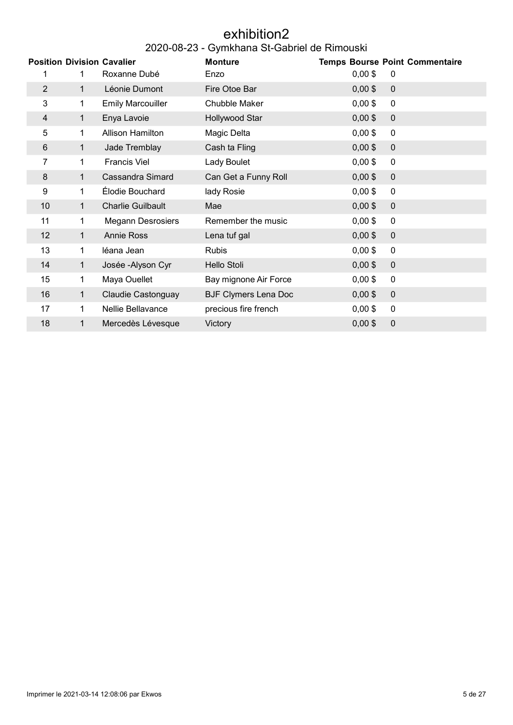#### exhibition2 2020-08-23 - Gymkhana St-Gabriel de Rimouski

|                |              | <b>Position Division Cavalier</b> | <b>Monture</b>              |           | <b>Temps Bourse Point Commentaire</b> |
|----------------|--------------|-----------------------------------|-----------------------------|-----------|---------------------------------------|
|                | 1            | Roxanne Dubé                      | Enzo                        | $0,00$ \$ | $\mathbf 0$                           |
| $\overline{2}$ | $\mathbf{1}$ | Léonie Dumont                     | Fire Otoe Bar               | $0,00$ \$ | $\mathbf 0$                           |
| 3              | $\mathbf 1$  | <b>Emily Marcouiller</b>          | Chubble Maker               | $0,00$ \$ | $\mathbf 0$                           |
| 4              | $\mathbf{1}$ | Enya Lavoie                       | Hollywood Star              | $0,00$ \$ | $\mathbf 0$                           |
| 5              | 1            | <b>Allison Hamilton</b>           | Magic Delta                 | $0,00$ \$ | $\mathbf 0$                           |
| 6              | $\mathbf{1}$ | Jade Tremblay                     | Cash ta Fling               | $0,00$ \$ | $\mathbf 0$                           |
| 7              | $\mathbf{1}$ | <b>Francis Viel</b>               | Lady Boulet                 | $0,00$ \$ | 0                                     |
| 8              | 1.           | <b>Cassandra Simard</b>           | Can Get a Funny Roll        | $0,00$ \$ | $\mathbf 0$                           |
| 9              | 1.           | Élodie Bouchard                   | lady Rosie                  | $0,00$ \$ | 0                                     |
| 10             | 1            | <b>Charlie Guilbault</b>          | Mae                         | $0,00$ \$ | $\mathbf 0$                           |
| 11             | 1            | <b>Megann Desrosiers</b>          | Remember the music          | $0,00$ \$ | 0                                     |
| 12             | $\mathbf{1}$ | <b>Annie Ross</b>                 | Lena tuf gal                | $0,00$ \$ | $\mathbf 0$                           |
| 13             | 1            | léana Jean                        | <b>Rubis</b>                | $0,00$ \$ | 0                                     |
| 14             | 1.           | Josée - Alyson Cyr                | <b>Hello Stoli</b>          | $0,00$ \$ | $\mathbf 0$                           |
| 15             | 1.           | Maya Ouellet                      | Bay mignone Air Force       | $0,00$ \$ | 0                                     |
| 16             | $\mathbf{1}$ | <b>Claudie Castonguay</b>         | <b>BJF Clymers Lena Doc</b> | $0,00$ \$ | $\mathbf 0$                           |
| 17             | 1.           | Nellie Bellavance                 | precious fire french        | $0,00$ \$ | $\mathbf 0$                           |
| 18             | 1            | Mercedès Lévesque                 | Victory                     | $0,00$ \$ | $\pmb{0}$                             |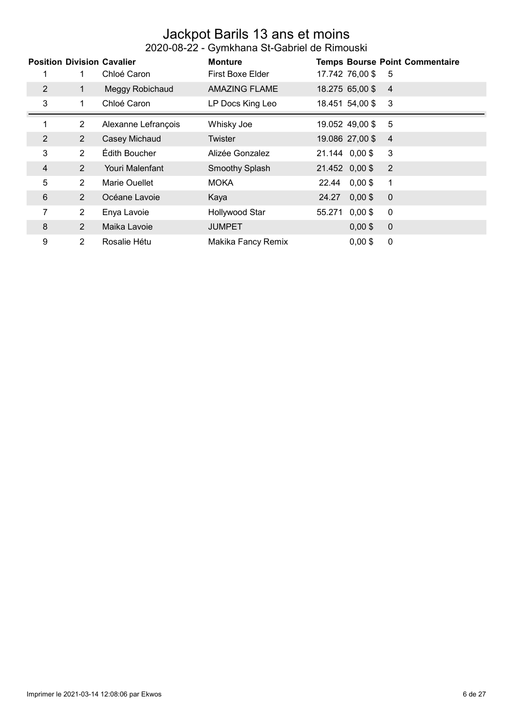#### Jackpot Barils 13 ans et moins 2020-08-22 - Gymkhana St-Gabriel de Rimouski

|   |                | <b>Position Division Cavalier</b> | <b>Monture</b>          |                     | <b>Temps Bourse Point Commentaire</b> |
|---|----------------|-----------------------------------|-------------------------|---------------------|---------------------------------------|
|   |                | Chloé Caron                       | <b>First Boxe Elder</b> | 17.742 76,00 \$     | -5                                    |
| 2 | 1              | Meggy Robichaud                   | <b>AMAZING FLAME</b>    | 18.275 65,00 \$     | $\overline{4}$                        |
| 3 | 1              | Chloé Caron                       | LP Docs King Leo        | 18.451 54,00 \$     | - 3                                   |
|   | $\overline{2}$ | Alexanne Lefrançois               | Whisky Joe              | 19.052 49,00 \$     | 5                                     |
| 2 | 2              | Casey Michaud                     | Twister                 | 19.086 27,00 \$     | $\overline{4}$                        |
| 3 | $\overline{2}$ | Édith Boucher                     | Alizée Gonzalez         | 21.144 0,00 \$      | 3                                     |
| 4 | 2              | Youri Malenfant                   | <b>Smoothy Splash</b>   | 21.452 0,00 \$      | $\overline{2}$                        |
| 5 | $\overline{2}$ | Marie Ouellet                     | <b>MOKA</b>             | $0,00$ \$<br>22.44  | 1                                     |
| 6 | 2              | Océane Lavoie                     | Kaya                    | $0,00$ \$<br>24.27  | $\mathbf 0$                           |
|   | $\overline{2}$ | Enya Lavoie                       | Hollywood Star          | $0,00$ \$<br>55.271 | 0                                     |
| 8 | $\overline{2}$ | Maika Lavoie                      | <b>JUMPET</b>           | $0,00$ \$           | 0                                     |
| 9 | $\overline{2}$ | Rosalie Hétu                      | Makika Fancy Remix      | $0,00$ \$           | 0                                     |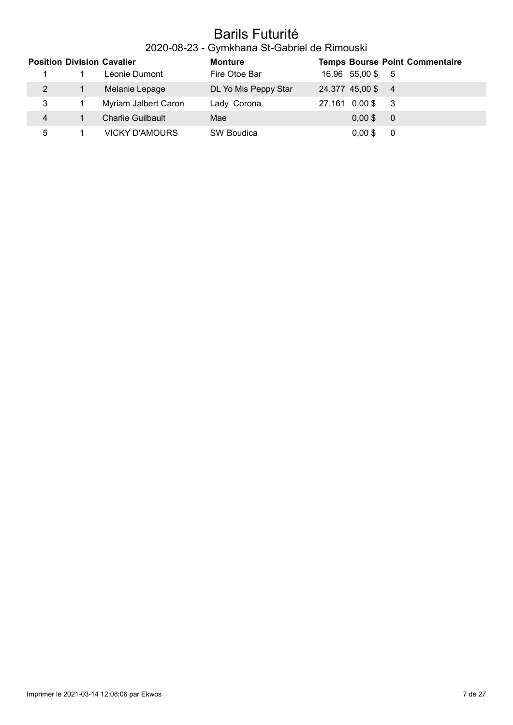### Barils Futurité

### 2020-08-23 - Gymkhana St-Gabriel de Rimouski

|                | <b>Position Division Cavalier</b> | <b>Monture</b>       |                   | <b>Temps Bourse Point Commentaire</b> |
|----------------|-----------------------------------|----------------------|-------------------|---------------------------------------|
|                | Léonie Dumont                     | Fire Otoe Bar        | 16.96 55,00\$ 5   |                                       |
| 2              | Melanie Lepage                    | DL Yo Mis Peppy Star | 24.377 45,00 \$ 4 |                                       |
| 3              | Myriam Jalbert Caron              | Lady Corona          | 27.161 0,00 \$    | - 3                                   |
| $\overline{4}$ | <b>Charlie Guilbault</b>          | Mae                  | $0.00$ \$         | - 0                                   |
| 5              | <b>VICKY D'AMOURS</b>             | SW Boudica           | $0,00$ \$         | -0                                    |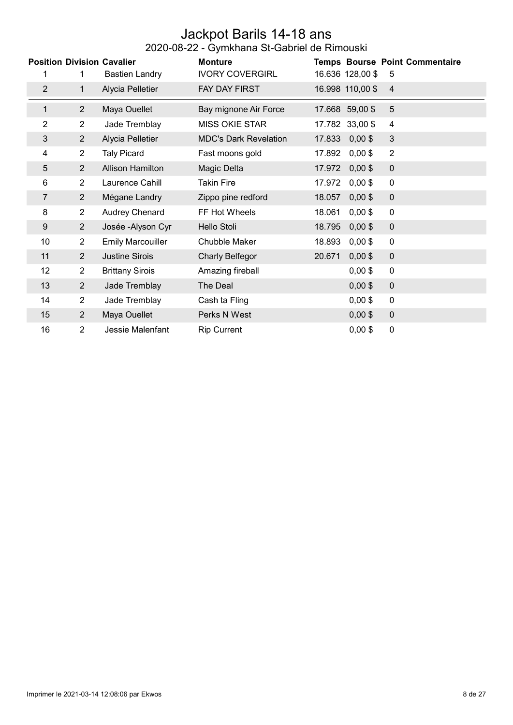#### Jackpot Barils 14-18 ans 2020-08-22 - Gymkhana St-Gabriel de Rimouski

| <b>Position Division Cavalier</b><br><b>Monture</b><br><b>Temps Bourse Point Commentaire</b> |                |                          |                              |        |                  |                |
|----------------------------------------------------------------------------------------------|----------------|--------------------------|------------------------------|--------|------------------|----------------|
| 1                                                                                            | 1              | <b>Bastien Landry</b>    | <b>IVORY COVERGIRL</b>       |        | 16.636 128,00 \$ | 5              |
| $\overline{2}$                                                                               | $\mathbf{1}$   | Alycia Pelletier         | FAY DAY FIRST                |        | 16.998 110,00 \$ | $\overline{4}$ |
| $\mathbf{1}$                                                                                 | $\overline{2}$ | Maya Ouellet             | Bay mignone Air Force        |        | 17.668 59,00 \$  | 5              |
| 2                                                                                            | $\overline{2}$ | Jade Tremblay            | <b>MISS OKIE STAR</b>        |        | 17.782 33,00 \$  | 4              |
| 3                                                                                            | $\overline{2}$ | Alycia Pelletier         | <b>MDC's Dark Revelation</b> | 17.833 | $0,00$ \$        | $\mathfrak{B}$ |
| 4                                                                                            | $\overline{2}$ | <b>Taly Picard</b>       | Fast moons gold              | 17.892 | $0,00$ \$        | $\overline{2}$ |
| 5                                                                                            | $\overline{2}$ | <b>Allison Hamilton</b>  | Magic Delta                  | 17.972 | $0,00$ \$        | $\pmb{0}$      |
| 6                                                                                            | $\overline{2}$ | Laurence Cahill          | <b>Takin Fire</b>            | 17.972 | $0,00$ \$        | 0              |
| 7                                                                                            | $\overline{2}$ | Mégane Landry            | Zippo pine redford           | 18.057 | $0,00$ \$        | $\mathbf 0$    |
| 8                                                                                            | $\overline{2}$ | Audrey Chenard           | FF Hot Wheels                | 18.061 | $0,00$ \$        | 0              |
| $\boldsymbol{9}$                                                                             | 2 <sup>1</sup> | Josée - Alyson Cyr       | Hello Stoli                  | 18.795 | $0,00$ \$        | $\mathbf 0$    |
| 10                                                                                           | $\overline{2}$ | <b>Emily Marcouiller</b> | Chubble Maker                | 18.893 | $0,00$ \$        | $\pmb{0}$      |
| 11                                                                                           | $\overline{2}$ | <b>Justine Sirois</b>    | Charly Belfegor              | 20.671 | $0,00$ \$        | $\pmb{0}$      |
| 12                                                                                           | $\overline{2}$ | <b>Brittany Sirois</b>   | Amazing fireball             |        | $0,00$ \$        | 0              |
| 13                                                                                           | $\overline{2}$ | Jade Tremblay            | The Deal                     |        | $0,00$ \$        | $\pmb{0}$      |
| 14                                                                                           | $\overline{2}$ | Jade Tremblay            | Cash ta Fling                |        | $0,00$ \$        | 0              |
| 15                                                                                           | $\overline{2}$ | Maya Ouellet             | Perks N West                 |        | $0,00$ \$        | $\pmb{0}$      |
| 16                                                                                           | $\overline{2}$ | Jessie Malenfant         | <b>Rip Current</b>           |        | $0,00$ \$        | 0              |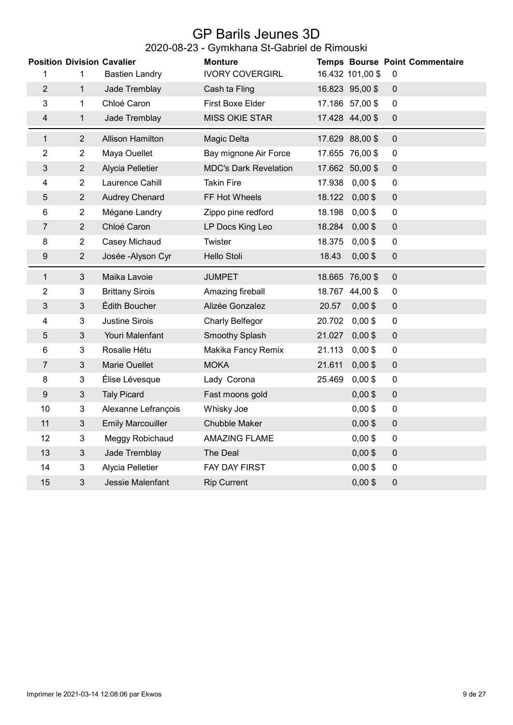#### GP Barils Jeunes 3D 2020-08-23 - Gymkhana St-Gabriel de Rimouski

|                |                | <b>Position Division Cavalier</b> | <b>Monture</b>               |        |                  | Temps Bourse Point Commentaire |
|----------------|----------------|-----------------------------------|------------------------------|--------|------------------|--------------------------------|
| 1              | 1              | <b>Bastien Landry</b>             | <b>IVORY COVERGIRL</b>       |        | 16.432 101,00 \$ | $\pmb{0}$                      |
| $\overline{2}$ | $\mathbf{1}$   | Jade Tremblay                     | Cash ta Fling                |        | 16.823 95,00 \$  | $\pmb{0}$                      |
| 3              | 1              | Chloé Caron                       | First Boxe Elder             |        | 17.186 57,00 \$  | $\pmb{0}$                      |
| 4              | $\mathbf{1}$   | Jade Tremblay                     | <b>MISS OKIE STAR</b>        |        | 17.428 44,00 \$  | $\pmb{0}$                      |
| $\mathbf{1}$   | $\overline{2}$ | <b>Allison Hamilton</b>           | Magic Delta                  |        | 17.629 88,00 \$  | $\pmb{0}$                      |
| 2              | $\overline{2}$ | Maya Ouellet                      | Bay mignone Air Force        |        | 17.655 76,00 \$  | $\pmb{0}$                      |
| 3              | $\overline{2}$ | Alycia Pelletier                  | <b>MDC's Dark Revelation</b> |        | 17.662 50,00 \$  | $\pmb{0}$                      |
| 4              | $\overline{2}$ | Laurence Cahill                   | <b>Takin Fire</b>            | 17.938 | $0,00$ \$        | $\pmb{0}$                      |
| 5              | $\overline{2}$ | <b>Audrey Chenard</b>             | FF Hot Wheels                | 18.122 | $0,00$ \$        | $\pmb{0}$                      |
| 6              | $\overline{2}$ | Mégane Landry                     | Zippo pine redford           | 18.198 | $0,00$ \$        | $\pmb{0}$                      |
| 7              | 2              | Chloé Caron                       | LP Docs King Leo             | 18.284 | $0,00$ \$        | $\pmb{0}$                      |
| 8              | $\overline{2}$ | Casey Michaud                     | Twister                      | 18.375 | $0,00$ \$        | $\pmb{0}$                      |
| 9              | $\overline{2}$ | Josée - Alyson Cyr                | Hello Stoli                  | 18.43  | $0,00$ \$        | $\pmb{0}$                      |
| 1              | 3              | Maika Lavoie                      | <b>JUMPET</b>                |        | 18.665 76,00 \$  | $\mathbf 0$                    |
| $\overline{2}$ | 3              | <b>Brittany Sirois</b>            | Amazing fireball             |        | 18.767 44,00 \$  | $\mathbf 0$                    |
| 3              | $\mathfrak{S}$ | Édith Boucher                     | Alizée Gonzalez              | 20.57  | $0,00$ \$        | $\pmb{0}$                      |
| 4              | 3              | <b>Justine Sirois</b>             | <b>Charly Belfegor</b>       | 20.702 | $0,00$ \$        | $\pmb{0}$                      |
| 5              | 3              | Youri Malenfant                   | Smoothy Splash               | 21.027 | $0,00$ \$        | $\pmb{0}$                      |
| 6              | 3              | Rosalie Hétu                      | Makika Fancy Remix           | 21.113 | $0,00$ \$        | $\pmb{0}$                      |
| 7              | $\mathfrak{S}$ | <b>Marie Ouellet</b>              | <b>MOKA</b>                  | 21.611 | $0,00$ \$        | $\pmb{0}$                      |
| 8              | 3              | Élise Lévesque                    | Lady Corona                  | 25.469 | $0,00$ \$        | $\pmb{0}$                      |
| 9              | $\sqrt{3}$     | <b>Taly Picard</b>                | Fast moons gold              |        | $0,00$ \$        | $\pmb{0}$                      |
| 10             | 3              | Alexanne Lefrançois               | Whisky Joe                   |        | $0,00$ \$        | $\pmb{0}$                      |
| 11             | $\mathfrak{B}$ | <b>Emily Marcouiller</b>          | Chubble Maker                |        | $0,00$ \$        | $\pmb{0}$                      |
| 12             | 3              | Meggy Robichaud                   | <b>AMAZING FLAME</b>         |        | $0,00$ \$        | $\pmb{0}$                      |
| 13             | $\sqrt{3}$     | Jade Tremblay                     | The Deal                     |        | $0,00$ \$        | $\pmb{0}$                      |
| 14             | $\overline{3}$ | Alycia Pelletier                  | <b>FAY DAY FIRST</b>         |        | $0,00$ \$        | $\overline{0}$                 |
| 15             | 3              | Jessie Malenfant                  | <b>Rip Current</b>           |        | $0,00$ \$        | $\pmb{0}$                      |
|                |                |                                   |                              |        |                  |                                |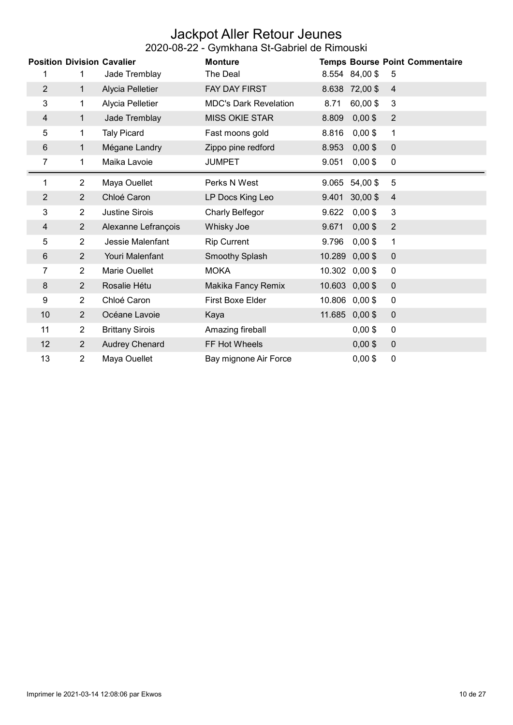#### Jackpot Aller Retour Jeunes 2020-08-22 - Gymkhana St-Gabriel de Rimouski

|                |                | <b>Position Division Cavalier</b> | <b>Monture</b>               |        |                | <b>Temps Bourse Point Commentaire</b> |
|----------------|----------------|-----------------------------------|------------------------------|--------|----------------|---------------------------------------|
|                | 1              | Jade Tremblay                     | The Deal                     |        | 8.554 84,00 \$ | 5                                     |
| $\overline{2}$ | $\mathbf{1}$   | Alycia Pelletier                  | FAY DAY FIRST                | 8.638  | 72,00\$        | $\overline{4}$                        |
|                |                |                                   |                              |        |                |                                       |
| 3              | $\mathbf{1}$   | Alycia Pelletier                  | <b>MDC's Dark Revelation</b> | 8.71   | 60,00\$        | 3                                     |
| $\overline{4}$ | $\mathbf{1}$   | Jade Tremblay                     | <b>MISS OKIE STAR</b>        | 8.809  | $0,00$ \$      | 2                                     |
| 5              | 1              | <b>Taly Picard</b>                | Fast moons gold              | 8.816  | $0,00$ \$      | 1                                     |
| 6              | 1              | Mégane Landry                     | Zippo pine redford           | 8.953  | $0,00$ \$      | $\mathbf 0$                           |
| 7              | 1              | Maika Lavoie                      | <b>JUMPET</b>                | 9.051  | $0,00$ \$      | $\mathbf 0$                           |
| 1              | $\overline{2}$ | Maya Ouellet                      | Perks N West                 | 9.065  | 54,00 \$       | 5                                     |
| $\overline{2}$ | $\overline{2}$ | Chloé Caron                       | LP Docs King Leo             | 9.401  | $30,00$ \$     | $\overline{\mathbf{4}}$               |
| 3              | $\overline{2}$ | <b>Justine Sirois</b>             | Charly Belfegor              | 9.622  | $0,00$ \$      | 3                                     |
| 4              | $\overline{2}$ | Alexanne Lefrançois               | Whisky Joe                   | 9.671  | $0,00$ \$      | $\overline{2}$                        |
| 5              | $\overline{2}$ | Jessie Malenfant                  | <b>Rip Current</b>           | 9.796  | $0,00$ \$      | 1                                     |
| 6              | $\overline{2}$ | Youri Malenfant                   | Smoothy Splash               | 10.289 | $0,00$ \$      | $\mathbf 0$                           |
| 7              | $\overline{2}$ | Marie Ouellet                     | <b>MOKA</b>                  | 10.302 | $0,00$ \$      | $\boldsymbol{0}$                      |
| 8              | $\overline{2}$ | Rosalie Hétu                      | Makika Fancy Remix           | 10.603 | $0,00$ \$      | $\mathbf 0$                           |
| 9              | $\overline{2}$ | Chloé Caron                       | <b>First Boxe Elder</b>      | 10.806 | $0,00$ \$      | $\mathbf 0$                           |
| 10             | $\overline{2}$ | Océane Lavoie                     | Kaya                         | 11.685 | $0,00$ \$      | $\mathbf 0$                           |
| 11             | $\overline{2}$ | <b>Brittany Sirois</b>            | Amazing fireball             |        | $0,00$ \$      | $\mathbf 0$                           |
| 12             | $\overline{2}$ | Audrey Chenard                    | FF Hot Wheels                |        | $0,00$ \$      | $\mathbf 0$                           |
| 13             | $\overline{2}$ | Maya Ouellet                      | Bay mignone Air Force        |        | $0,00$ \$      | $\boldsymbol{0}$                      |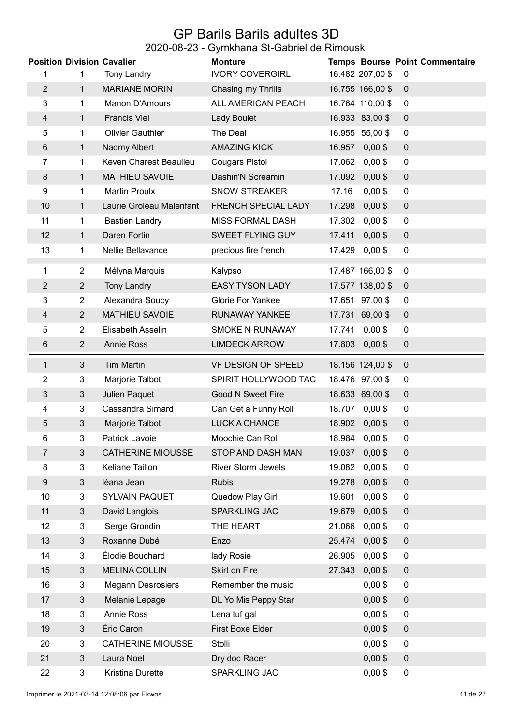## GP Barils Barils adultes 3D

### 2020-08-23 - Gymkhana St-Gabriel de Rimouski

|                |                | <b>Position Division Cavalier</b> | <b>Monture</b>            |                     | <b>Temps Bourse Point Commentaire</b> |
|----------------|----------------|-----------------------------------|---------------------------|---------------------|---------------------------------------|
| 1              | 1              | <b>Tony Landry</b>                | <b>IVORY COVERGIRL</b>    | 16.482 207,00 \$    | $\mathbf 0$                           |
| $\overline{2}$ | $\mathbf{1}$   | <b>MARIANE MORIN</b>              | Chasing my Thrills        | 16.755 166,00 \$    | $\mathbf 0$                           |
| 3              | $\mathbf 1$    | Manon D'Amours                    | ALL AMERICAN PEACH        | 16.764 110,00 \$    | 0                                     |
| 4              | $\mathbf{1}$   | <b>Francis Viel</b>               | Lady Boulet               | 16.933 83,00 \$     | $\mathbf 0$                           |
| 5              | 1              | <b>Olivier Gauthier</b>           | The Deal                  | 16.955 55,00 \$     | $\mathbf 0$                           |
| 6              | $\mathbf{1}$   | Naomy Albert                      | <b>AMAZING KICK</b>       | 16.957<br>$0,00$ \$ | $\mathbf 0$                           |
| 7              | 1              | Keven Charest Beaulieu            | <b>Cougars Pistol</b>     | 17.062 0,00 \$      | $\mathbf 0$                           |
| 8              | $\mathbf 1$    | <b>MATHIEU SAVOIE</b>             | Dashin'N Screamin         | 17.092 0,00 \$      | $\pmb{0}$                             |
| 9              | 1              | <b>Martin Proulx</b>              | <b>SNOW STREAKER</b>      | 17.16<br>$0,00$ \$  | $\mathbf 0$                           |
| 10             | 1              | Laurie Groleau Malenfant          | FRENCH SPECIAL LADY       | 17.298<br>$0,00$ \$ | $\pmb{0}$                             |
| 11             | 1              | <b>Bastien Landry</b>             | <b>MISS FORMAL DASH</b>   | 17.302<br>$0,00$ \$ | 0                                     |
| 12             | 1              | Daren Fortin                      | <b>SWEET FLYING GUY</b>   | $0,00$ \$<br>17.411 | $\mathbf 0$                           |
| 13             | 1              | Nellie Bellavance                 | precious fire french      | $0,00$ \$<br>17.429 | 0                                     |
| 1              | $\overline{2}$ | Mélyna Marquis                    | Kalypso                   | 17.487 166,00 \$    | $\overline{0}$                        |
| $\overline{2}$ | $\overline{2}$ | <b>Tony Landry</b>                | <b>EASY TYSON LADY</b>    | 17.577 138,00 \$    | $\mathbf 0$                           |
| 3              | $\overline{2}$ | Alexandra Soucy                   | <b>Glorie For Yankee</b>  | 17.651 97,00 \$     | 0                                     |
| 4              | $\overline{2}$ | <b>MATHIEU SAVOIE</b>             | RUNAWAY YANKEE            | 17.731 69,00 \$     | $\mathbf 0$                           |
| 5              | $\overline{2}$ | Elisabeth Asselin                 | SMOKE N RUNAWAY           | 17.741 0,00 \$      | 0                                     |
| 6              | $\overline{2}$ | <b>Annie Ross</b>                 | <b>LIMDECK ARROW</b>      | $0,00$ \$<br>17.803 | $\boldsymbol{0}$                      |
| 1              | $\sqrt{3}$     | <b>Tim Martin</b>                 | VF DESIGN OF SPEED        | 18.156 124,00 \$    | $\mathbf 0$                           |
| 2              | 3              | Marjorie Talbot                   | SPIRIT HOLLYWOOD TAC      | 18.476 97,00 \$     | 0                                     |
| 3              | $\mathfrak{S}$ | Julien Paquet                     | <b>Good N Sweet Fire</b>  | 18.633 69,00 \$     | $\pmb{0}$                             |
| 4              | 3              | Cassandra Simard                  | Can Get a Funny Roll      | 18.707 0,00 \$      | 0                                     |
| 5              | 3              | Marjorie Talbot                   | <b>LUCK A CHANCE</b>      | 18.902 0,00 \$      | $\mathbf 0$                           |
| 6              | 3              | Patrick Lavoie                    | Moochie Can Roll          | 18.984 0,00 \$      | 0                                     |
| 7              | 3              | <b>CATHERINE MIOUSSE</b>          | STOP AND DASH MAN         | 19.037<br>$0,00$ \$ | 0                                     |
| 8              | 3              | Keliane Taillon                   | <b>River Storm Jewels</b> | 19.082<br>$0,00$ \$ | 0                                     |
| 9              | 3              | léana Jean                        | <b>Rubis</b>              | 19.278<br>$0,00$ \$ | $\pmb{0}$                             |
| 10             | $\overline{3}$ | SYLVAIN PAQUET                    | Quedow Play Girl          | 19.601<br>$0,00$ \$ | $\overline{0}$                        |
| 11             | 3              | David Langlois                    | <b>SPARKLING JAC</b>      | 19.679<br>$0,00$ \$ | $\mathbf 0$                           |
| 12             | 3              | Serge Grondin                     | THE HEART                 | 21.066<br>$0,00$ \$ | 0                                     |
| 13             | 3              | Roxanne Dubé                      | Enzo                      | 25.474<br>$0,00$ \$ | $\pmb{0}$                             |
| 14             | 3              | Élodie Bouchard                   | lady Rosie                | $0,00$ \$<br>26.905 | $\mathbf 0$                           |
| 15             | 3              | <b>MELINA COLLIN</b>              | Skirt on Fire             | 27.343<br>$0,00$ \$ | 0                                     |
| 16             | 3              | <b>Megann Desrosiers</b>          | Remember the music        | $0,00$ \$           | $\pmb{0}$                             |
| 17             | 3              | Melanie Lepage                    | DL Yo Mis Peppy Star      | $0,00$ \$           | 0                                     |
| 18             | $\overline{3}$ | <b>Annie Ross</b>                 | Lena tuf gal              | $0,00$ \$           | $\overline{0}$                        |
| 19             | 3              | Éric Caron                        | First Boxe Elder          | $0,00$ \$           | $\pmb{0}$                             |
| 20             | 3              | <b>CATHERINE MIOUSSE</b>          | Stolli                    | $0,00$ \$           | $\boldsymbol{0}$                      |
| 21             | 3              | Laura Noel                        | Dry doc Racer             | $0,00$ \$           | $\pmb{0}$                             |
| 22             | 3              | Kristina Durette                  | SPARKLING JAC             | $0,00$ \$           | 0                                     |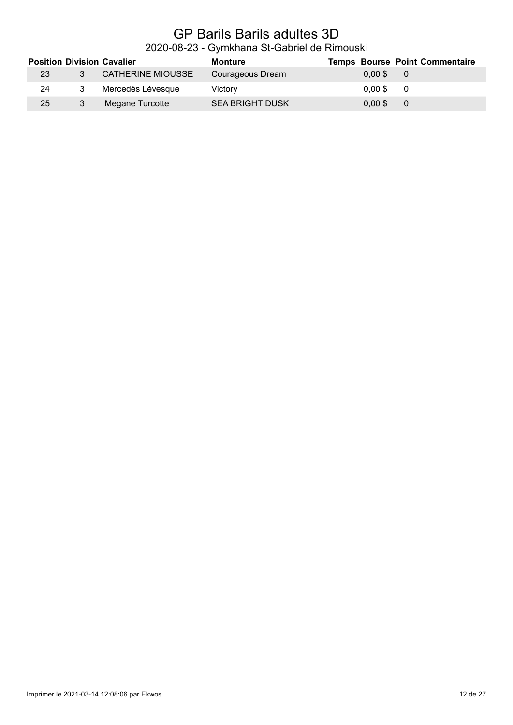# GP Barils Barils adultes 3D

### 2020-08-23 - Gymkhana St-Gabriel de Rimouski

|    |   | <b>Position Division Cavalier</b> | Monture                |           | <b>Temps Bourse Point Commentaire</b> |
|----|---|-----------------------------------|------------------------|-----------|---------------------------------------|
| 23 | 3 | CATHERINE MIOUSSE                 | Courageous Dream       | $0.00$ \$ | $\overline{0}$                        |
| 24 |   | Mercedès Lévesque                 | Victorv                | $0.00$ \$ | $\overline{0}$                        |
| 25 | 3 | Megane Turcotte                   | <b>SEA BRIGHT DUSK</b> | $0.00$ \$ | $\overline{\phantom{0}}$              |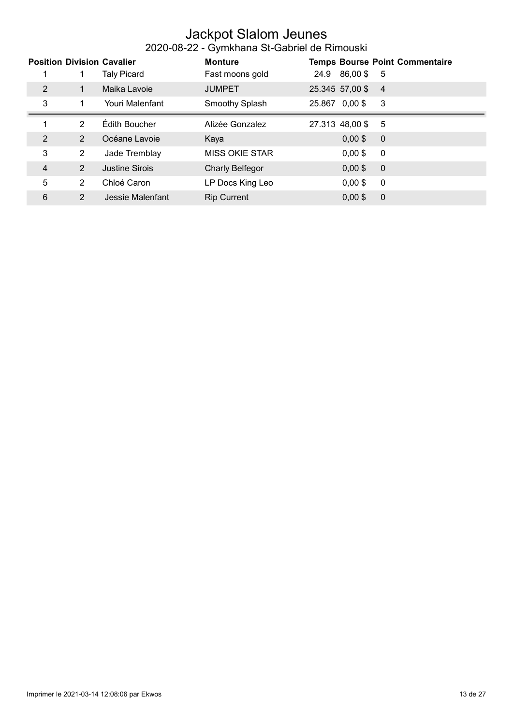#### Jackpot Slalom Jeunes 2020-08-22 - Gymkhana St-Gabriel de Rimouski

|                |                | <b>Position Division Cavalier</b> | <b>Monture</b>        |                 |               | <b>Temps Bourse Point Commentaire</b> |
|----------------|----------------|-----------------------------------|-----------------------|-----------------|---------------|---------------------------------------|
|                | 1              | <b>Taly Picard</b>                | Fast moons gold       |                 | 24.9 86,00 \$ | - 5                                   |
| 2              | 1              | Maika Lavoie                      | <b>JUMPET</b>         | 25.345 57,00 \$ |               | $\overline{4}$                        |
| 3              | 1              | Youri Malenfant                   | Smoothy Splash        | 25.867 0,00 \$  |               | -3                                    |
| 1              | $\mathcal{P}$  | Édith Boucher                     | Alizée Gonzalez       | 27.313 48,00 \$ |               | - 5                                   |
| $\overline{2}$ | $\overline{2}$ | Océane Lavoie                     | Kaya                  |                 | $0,00$ \$     | $\overline{0}$                        |
| 3              | $\overline{2}$ | Jade Tremblay                     | <b>MISS OKIE STAR</b> |                 | $0,00$ \$     | $\overline{0}$                        |
| 4              | $\overline{2}$ | Justine Sirois                    | Charly Belfegor       |                 | $0,00$ \$     | $\overline{0}$                        |
| 5              | $\overline{2}$ | Chloé Caron                       | LP Docs King Leo      |                 | $0,00$ \$     | $\overline{0}$                        |
| 6              | $\overline{2}$ | Jessie Malenfant                  | <b>Rip Current</b>    |                 | $0.00$ \$     | $\overline{0}$                        |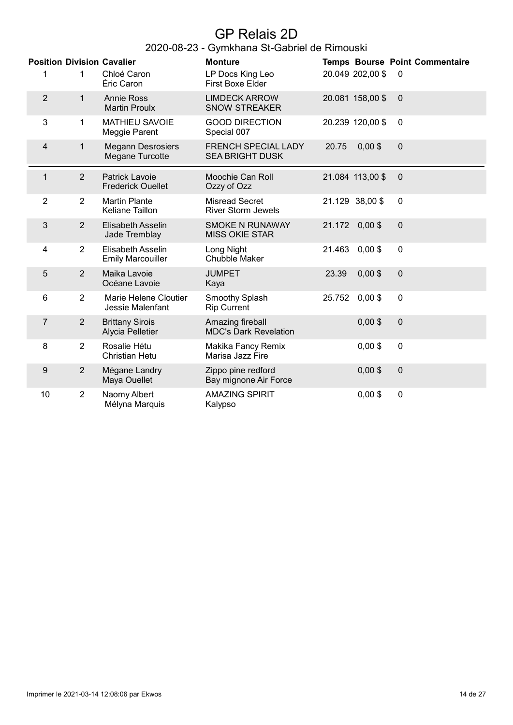# GP Relais 2D

|                | <b>Position Division Cavalier</b> |                                                   | <b>Monture</b>                                       |        |                  | <b>Temps Bourse Point Commentaire</b> |
|----------------|-----------------------------------|---------------------------------------------------|------------------------------------------------------|--------|------------------|---------------------------------------|
| 1              | 1                                 | Chloé Caron<br>Éric Caron                         | LP Docs King Leo<br><b>First Boxe Elder</b>          |        | 20.049 202,00 \$ | $\mathbf{0}$                          |
| $\overline{2}$ | $\mathbf{1}$                      | <b>Annie Ross</b><br><b>Martin Proulx</b>         | <b>LIMDECK ARROW</b><br><b>SNOW STREAKER</b>         |        | 20.081 158,00 \$ | $\mathbf 0$                           |
| 3              | $\mathbf 1$                       | <b>MATHIEU SAVOIE</b><br>Meggie Parent            | <b>GOOD DIRECTION</b><br>Special 007                 |        | 20.239 120,00 \$ | $\mathbf{0}$                          |
| 4              | $\mathbf{1}$                      | <b>Megann Desrosiers</b><br>Megane Turcotte       | <b>FRENCH SPECIAL LADY</b><br><b>SEA BRIGHT DUSK</b> | 20.75  | $0,00$ \$        | $\mathbf 0$                           |
| $\mathbf{1}$   | $\overline{2}$                    | <b>Patrick Lavoie</b><br><b>Frederick Ouellet</b> | Moochie Can Roll<br>Ozzy of Ozz                      |        | 21.084 113,00 \$ | $\mathbf 0$                           |
| $\overline{2}$ | $\overline{2}$                    | <b>Martin Plante</b><br>Keliane Taillon           | <b>Misread Secret</b><br><b>River Storm Jewels</b>   |        | 21.129 38,00 \$  | $\boldsymbol{0}$                      |
| 3              | 2                                 | <b>Elisabeth Asselin</b><br>Jade Tremblay         | <b>SMOKE N RUNAWAY</b><br><b>MISS OKIE STAR</b>      | 21.172 | $0,00$ \$        | $\mathbf 0$                           |
| 4              | $\overline{2}$                    | Elisabeth Asselin<br><b>Emily Marcouiller</b>     | Long Night<br><b>Chubble Maker</b>                   | 21.463 | $0,00$ \$        | $\mathbf 0$                           |
| 5              | $\overline{2}$                    | Maika Lavoie<br>Océane Lavoie                     | <b>JUMPET</b><br>Kaya                                | 23.39  | $0,00$ \$        | $\mathbf 0$                           |
| 6              | $\overline{2}$                    | Marie Helene Cloutier<br>Jessie Malenfant         | Smoothy Splash<br><b>Rip Current</b>                 | 25.752 | $0,00$ \$        | $\mathbf 0$                           |
| $\overline{7}$ | $\overline{2}$                    | <b>Brittany Sirois</b><br>Alycia Pelletier        | Amazing fireball<br><b>MDC's Dark Revelation</b>     |        | $0,00$ \$        | $\mathbf 0$                           |
| 8              | $\overline{2}$                    | Rosalie Hétu<br>Christian Hetu                    | Makika Fancy Remix<br>Marisa Jazz Fire               |        | $0,00$ \$        | $\mathbf 0$                           |
| 9              | $\overline{2}$                    | Mégane Landry<br>Maya Ouellet                     | Zippo pine redford<br>Bay mignone Air Force          |        | $0,00$ \$        | $\Omega$                              |
| 10             | $\overline{2}$                    | Naomy Albert<br>Mélyna Marquis                    | <b>AMAZING SPIRIT</b><br>Kalypso                     |        | $0,00$ \$        | $\boldsymbol{0}$                      |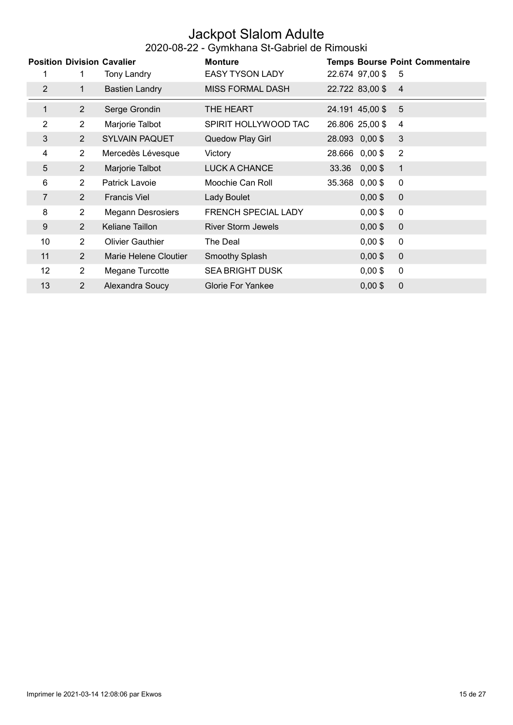#### Jackpot Slalom Adulte 2020-08-22 - Gymkhana St-Gabriel de Rimouski

|                   |                | <b>Position Division Cavalier</b> | <b>Monture</b>             | <b>Temps Bourse Point Commentaire</b> |
|-------------------|----------------|-----------------------------------|----------------------------|---------------------------------------|
|                   | 1              | Tony Landry                       | <b>EASY TYSON LADY</b>     | 22.674 97,00 \$<br>-5                 |
| 2                 | $\mathbf{1}$   | <b>Bastien Landry</b>             | <b>MISS FORMAL DASH</b>    | 22.722 83,00 \$<br>$\overline{4}$     |
| $\mathbf{1}$      | $\overline{2}$ | Serge Grondin                     | THE HEART                  | 24.191 45,00 \$<br>5                  |
| 2                 | $\overline{2}$ | Marjorie Talbot                   | SPIRIT HOLLYWOOD TAC       | 26.806 25,00 \$<br>4                  |
| 3                 | 2              | <b>SYLVAIN PAQUET</b>             | Quedow Play Girl           | 3<br>28.093 0,00 \$                   |
| 4                 | $\overline{2}$ | Mercedès Lévesque                 | Victory                    | $\overline{2}$<br>28.666 0,00 \$      |
| 5                 | $\overline{2}$ | Marjorie Talbot                   | LUCK A CHANCE              | $33.36$ 0,00 \$<br>$\overline{1}$     |
| 6                 | $\overline{2}$ | Patrick Lavoie                    | Moochie Can Roll           | 35.368 0,00 \$<br>$\mathbf 0$         |
| 7                 | 2              | <b>Francis Viel</b>               | Lady Boulet                | $0,00$ \$<br>$\mathbf 0$              |
| 8                 | $\overline{2}$ | <b>Megann Desrosiers</b>          | <b>FRENCH SPECIAL LADY</b> | $0,00$ \$<br>$\mathbf 0$              |
| 9                 | 2              | Keliane Taillon                   | <b>River Storm Jewels</b>  | $0,00$ \$<br>$\mathbf 0$              |
| 10                | $\overline{2}$ | <b>Olivier Gauthier</b>           | The Deal                   | $\mathbf 0$<br>$0,00$ \$              |
| 11                | $\overline{2}$ | Marie Helene Cloutier             | Smoothy Splash             | $0,00$ \$<br>$\mathbf 0$              |
| $12 \overline{ }$ | 2              | Megane Turcotte                   | <b>SEA BRIGHT DUSK</b>     | $0,00$ \$<br>$\mathbf 0$              |
| 13                | $\overline{2}$ | Alexandra Soucy                   | <b>Glorie For Yankee</b>   | $0,00$ \$<br>$\mathbf 0$              |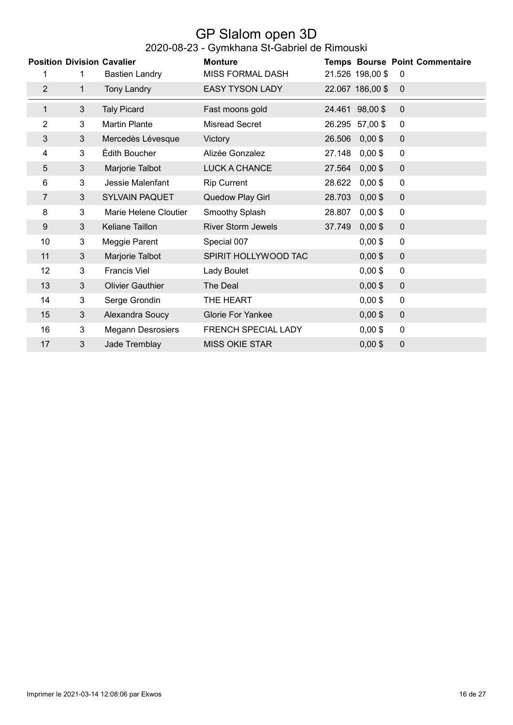#### GP Slalom open 3D 2020-08-23 - Gymkhana St-Gabriel de Rimouski

|                |                | ∸∪∽ ∪∪ ∽                          | <b>Primitional Official Caption as infinited</b> |        |                  |                                       |
|----------------|----------------|-----------------------------------|--------------------------------------------------|--------|------------------|---------------------------------------|
|                |                | <b>Position Division Cavalier</b> | <b>Monture</b>                                   |        |                  | <b>Temps Bourse Point Commentaire</b> |
| 1              | 1              | <b>Bastien Landry</b>             | <b>MISS FORMAL DASH</b>                          |        | 21.526 198,00 \$ | $\mathbf 0$                           |
| $\overline{2}$ | $\mathbf{1}$   | <b>Tony Landry</b>                | <b>EASY TYSON LADY</b>                           |        | 22.067 186,00 \$ | $\mathbf{0}$                          |
| $\mathbf{1}$   | 3              | <b>Taly Picard</b>                | Fast moons gold                                  |        | 24.461 98,00 \$  | $\mathbf 0$                           |
| 2              | 3              | <b>Martin Plante</b>              | <b>Misread Secret</b>                            |        | 26.295 57,00 \$  | 0                                     |
| 3              | $\mathbf{3}$   | Mercedès Lévesque                 | Victory                                          | 26.506 | $0,00$ \$        | $\mathbf 0$                           |
| 4              | 3              | Édith Boucher                     | Alizée Gonzalez                                  | 27.148 | $0,00$ \$        | 0                                     |
| 5              | 3              | Marjorie Talbot                   | LUCK A CHANCE                                    | 27.564 | $0,00$ \$        | $\overline{0}$                        |
| 6              | 3              | Jessie Malenfant                  | <b>Rip Current</b>                               | 28.622 | $0,00$ \$        | $\mathbf 0$                           |
| 7              | 3              | <b>SYLVAIN PAQUET</b>             | Quedow Play Girl                                 | 28.703 | $0,00$ \$        | $\pmb{0}$                             |
| 8              | 3              | Marie Helene Cloutier             | Smoothy Splash                                   | 28.807 | $0,00$ \$        | $\mathbf 0$                           |
| 9              | 3              | Keliane Taillon                   | <b>River Storm Jewels</b>                        | 37.749 | $0,00$ \$        | $\mathbf 0$                           |
| 10             | 3              | Meggie Parent                     | Special 007                                      |        | $0,00$ \$        | $\mathbf 0$                           |
| 11             | 3              | Marjorie Talbot                   | SPIRIT HOLLYWOOD TAC                             |        | $0,00$ \$        | $\mathbf 0$                           |
| 12             | 3              | <b>Francis Viel</b>               | Lady Boulet                                      |        | $0,00$ \$        | $\mathbf 0$                           |
| 13             | $\mathfrak{B}$ | <b>Olivier Gauthier</b>           | The Deal                                         |        | $0,00$ \$        | $\pmb{0}$                             |
| 14             | $\mathbf{3}$   | Serge Grondin                     | THE HEART                                        |        | $0,00$ \$        | $\mathbf 0$                           |
| 15             | 3              | Alexandra Soucy                   | Glorie For Yankee                                |        | $0,00$ \$        | $\mathbf 0$                           |
| 16             | 3              | <b>Megann Desrosiers</b>          | FRENCH SPECIAL LADY                              |        | $0,00$ \$        | $\mathbf 0$                           |
| 17             | 3              | Jade Tremblay                     | <b>MISS OKIE STAR</b>                            |        | $0,00$ \$        | $\mathbf 0$                           |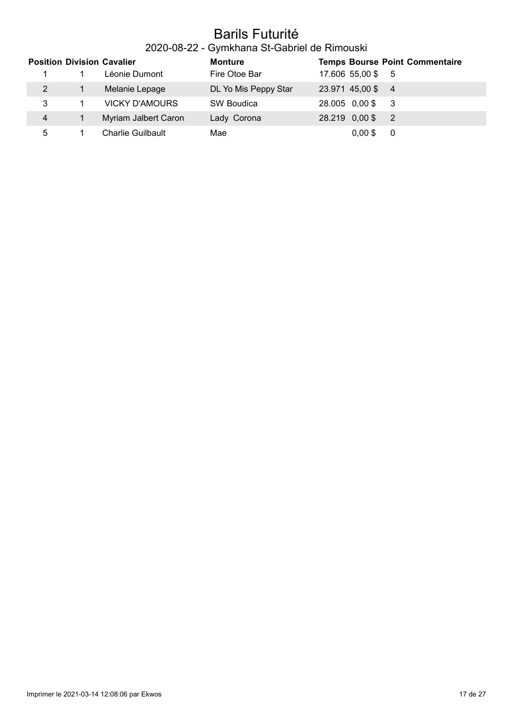### Barils Futurité

### 2020-08-22 - Gymkhana St-Gabriel de Rimouski

|                | <b>Position Division Cavalier</b> | <b>Monture</b>       |                   | <b>Temps Bourse Point Commentaire</b> |
|----------------|-----------------------------------|----------------------|-------------------|---------------------------------------|
|                | Léonie Dumont                     | Fire Otoe Bar        | 17.606 55,00 \$ 5 |                                       |
| 2              | Melanie Lepage                    | DL Yo Mis Peppy Star | 23.971 45,00 \$ 4 |                                       |
| 3              | <b>VICKY D'AMOURS</b>             | SW Boudica           | 28.005 0,00 \$    | - 3                                   |
| $\overline{4}$ | Myriam Jalbert Caron              | Lady Corona          | 28.219 0,00 \$    | $\overline{2}$                        |
| 5              | <b>Charlie Guilbault</b>          | Mae                  | $0.00$ \$         | 0                                     |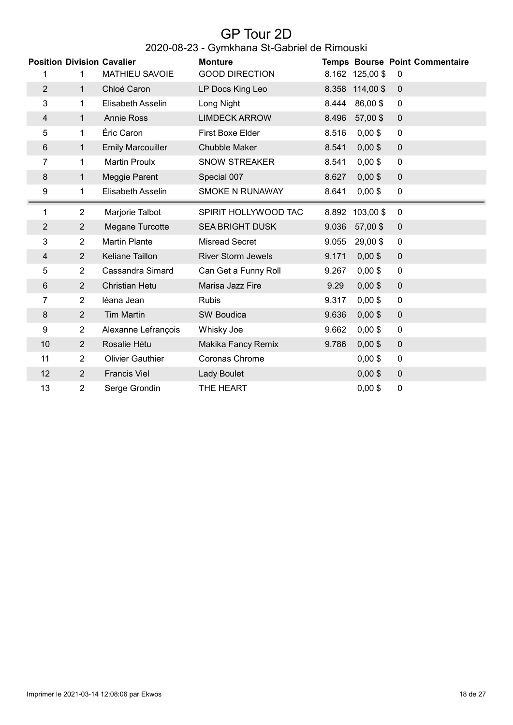# GP Tour 2D

### 2020-08-23 - Gymkhana St-Gabriel de Rimouski

|                |                | <b>Position Division Cavalier</b> | <b>Monture</b>            |       |                 | <b>Temps Bourse Point Commentaire</b> |
|----------------|----------------|-----------------------------------|---------------------------|-------|-----------------|---------------------------------------|
| 1              | 1              | <b>MATHIEU SAVOIE</b>             | <b>GOOD DIRECTION</b>     |       | 8.162 125,00 \$ | 0                                     |
| $\overline{2}$ | $\mathbf{1}$   | Chloé Caron                       | LP Docs King Leo          |       | 8.358 114,00 \$ | $\mathbf 0$                           |
| 3              | 1              | Elisabeth Asselin                 | Long Night                | 8.444 | 86,00\$         | $\pmb{0}$                             |
| 4              | $\mathbf{1}$   | <b>Annie Ross</b>                 | <b>LIMDECK ARROW</b>      | 8.496 | 57,00 \$        | $\mathbf 0$                           |
| 5              | 1              | Éric Caron                        | First Boxe Elder          | 8.516 | $0,00$ \$       | 0                                     |
| 6              | 1              | <b>Emily Marcouiller</b>          | Chubble Maker             | 8.541 | $0,00$ \$       | $\mathbf 0$                           |
| 7              | $\mathbf 1$    | <b>Martin Proulx</b>              | <b>SNOW STREAKER</b>      | 8.541 | $0,00$ \$       | $\mathbf 0$                           |
| 8              | $\mathbf{1}$   | Meggie Parent                     | Special 007               | 8.627 | $0,00$ \$       | $\pmb{0}$                             |
| 9              | $\mathbf{1}$   | Elisabeth Asselin                 | <b>SMOKE N RUNAWAY</b>    | 8.641 | $0,00$ \$       | 0                                     |
| 1              | $\overline{2}$ | Marjorie Talbot                   | SPIRIT HOLLYWOOD TAC      | 8.892 | 103,00 \$       | $\mathbf 0$                           |
| $\overline{2}$ | $\overline{2}$ | Megane Turcotte                   | <b>SEA BRIGHT DUSK</b>    | 9.036 | 57,00 \$        | $\pmb{0}$                             |
| 3              | $\overline{2}$ | <b>Martin Plante</b>              | <b>Misread Secret</b>     | 9.055 | 29,00\$         | $\mathbf 0$                           |
| 4              | $\overline{2}$ | Keliane Taillon                   | <b>River Storm Jewels</b> | 9.171 | $0,00$ \$       | $\mathbf 0$                           |
| 5              | $\overline{2}$ | Cassandra Simard                  | Can Get a Funny Roll      | 9.267 | $0,00$ \$       | $\mathbf 0$                           |
| $\,6$          | $\overline{2}$ | <b>Christian Hetu</b>             | Marisa Jazz Fire          | 9.29  | $0,00$ \$       | $\pmb{0}$                             |
| 7              | $\overline{2}$ | léana Jean                        | <b>Rubis</b>              | 9.317 | $0,00$ \$       | $\pmb{0}$                             |
| 8              | $\overline{2}$ | <b>Tim Martin</b>                 | SW Boudica                | 9.636 | $0,00$ \$       | $\mathbf 0$                           |
| 9              | 2              | Alexanne Lefrançois               | Whisky Joe                | 9.662 | $0,00$ \$       | $\mathbf 0$                           |
| 10             | $\overline{2}$ | Rosalie Hétu                      | Makika Fancy Remix        | 9.786 | $0,00$ \$       | $\mathbf 0$                           |
| 11             | $\overline{2}$ | <b>Olivier Gauthier</b>           | Coronas Chrome            |       | $0,00$ \$       | $\pmb{0}$                             |
| 12             | 2              | <b>Francis Viel</b>               | <b>Lady Boulet</b>        |       | $0,00$ \$       | $\pmb{0}$                             |
| 13             | $\overline{2}$ | Serge Grondin                     | THE HEART                 |       | $0,00$ \$       | $\mathbf 0$                           |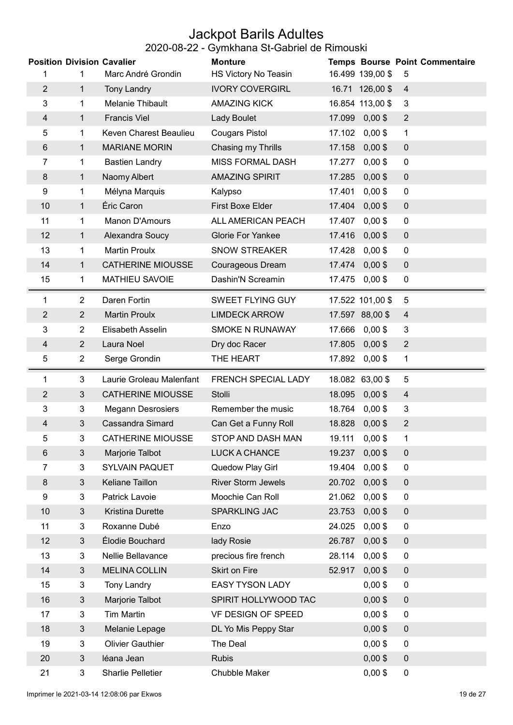## Jackpot Barils Adultes

#### 2020-08-22 - Gymkhana St-Gabriel de Rimouski

| <b>Position Division Cavalier</b> |                     |                                        | <b>Monture</b>                |        |                        | <b>Temps Bourse Point Commentaire</b> |
|-----------------------------------|---------------------|----------------------------------------|-------------------------------|--------|------------------------|---------------------------------------|
| 1                                 | 1                   | Marc André Grondin                     | HS Victory No Teasin          |        | 16.499 139,00 \$       | 5                                     |
| $\overline{2}$                    | 1                   | <b>Tony Landry</b>                     | <b>IVORY COVERGIRL</b>        |        | 16.71 126,00 \$        | $\overline{4}$                        |
| 3                                 | 1                   | Melanie Thibault                       | <b>AMAZING KICK</b>           |        | 16.854 113,00 \$       | 3                                     |
| $\overline{4}$                    | $\mathbf{1}$        | <b>Francis Viel</b>                    | Lady Boulet                   | 17.099 | $0,00$ \$              | $\overline{2}$                        |
| 5                                 | 1                   | Keven Charest Beaulieu                 | <b>Cougars Pistol</b>         | 17.102 | $0,00$ \$              | 1                                     |
| 6                                 | 1                   | <b>MARIANE MORIN</b>                   | Chasing my Thrills            | 17.158 | $0,00$ \$              | $\pmb{0}$                             |
| 7                                 | 1                   | <b>Bastien Landry</b>                  | <b>MISS FORMAL DASH</b>       | 17.277 | $0,00$ \$              | $\mathbf 0$                           |
| 8                                 | 1                   | Naomy Albert                           | <b>AMAZING SPIRIT</b>         | 17.285 | $0,00$ \$              | $\pmb{0}$                             |
| 9                                 | 1                   | Mélyna Marquis                         | Kalypso                       | 17.401 | $0,00$ \$              | $\mathbf 0$                           |
| 10                                | $\mathbf{1}$        | Éric Caron                             | <b>First Boxe Elder</b>       | 17.404 | $0,00$ \$              | $\pmb{0}$                             |
| 11                                | 1                   | Manon D'Amours                         | ALL AMERICAN PEACH            | 17.407 | $0,00$ \$              | 0                                     |
| 12                                | 1                   | Alexandra Soucy                        | <b>Glorie For Yankee</b>      | 17.416 | $0,00$ \$              | $\mathbf 0$                           |
| 13                                | 1                   | <b>Martin Proulx</b>                   | <b>SNOW STREAKER</b>          | 17.428 | $0,00$ \$              | $\mathbf 0$                           |
| 14                                | 1                   | <b>CATHERINE MIOUSSE</b>               | <b>Courageous Dream</b>       | 17.474 | $0,00$ \$              | $\pmb{0}$                             |
| 15                                | 1                   | <b>MATHIEU SAVOIE</b>                  | Dashin'N Screamin             | 17.475 | $0,00$ \$              | $\mathbf 0$                           |
| 1                                 | $\overline{2}$      | Daren Fortin                           | SWEET FLYING GUY              |        | 17.522 101,00 \$       | 5                                     |
| $\overline{c}$                    | $\overline{2}$      | <b>Martin Proulx</b>                   | <b>LIMDECK ARROW</b>          |        | 17.597 88,00 \$        | $\overline{4}$                        |
| 3                                 | $\overline{2}$      | Elisabeth Asselin                      | SMOKE N RUNAWAY               | 17.666 | $0,00$ \$              | 3                                     |
| 4                                 | $\overline{2}$      | Laura Noel                             | Dry doc Racer                 | 17.805 | $0,00$ \$              | $\overline{2}$                        |
| 5                                 | $\overline{2}$      | Serge Grondin                          | THE HEART                     | 17.892 | $0,00$ \$              | 1                                     |
|                                   |                     |                                        |                               |        |                        |                                       |
| 1                                 | 3                   | Laurie Groleau Malenfant               | FRENCH SPECIAL LADY           |        | 18.082 63,00 \$        | 5                                     |
| $\overline{c}$                    | $\mathbf{3}$        | <b>CATHERINE MIOUSSE</b>               | Stolli                        | 18.095 | $0,00$ \$              | $\overline{4}$                        |
| 3                                 | 3                   | <b>Megann Desrosiers</b>               | Remember the music            | 18.764 | $0,00$ \$              | 3                                     |
| 4                                 | $\mathfrak{S}$      | <b>Cassandra Simard</b>                | Can Get a Funny Roll          | 18.828 | $0,00$ \$              | $\overline{2}$                        |
| 5                                 | 3                   | <b>CATHERINE MIOUSSE</b>               | STOP AND DASH MAN             |        | 19.111 0,00 \$         | 1                                     |
| 6                                 | 3                   | Marjorie Talbot                        | LUCK A CHANCE                 | 19.237 | $0,00$ \$              | 0                                     |
| 7                                 | 3                   | <b>SYLVAIN PAQUET</b>                  | Quedow Play Girl              | 19.404 | $0,00$ \$              | $\mathbf 0$                           |
| 8                                 | 3                   | Keliane Taillon                        | <b>River Storm Jewels</b>     | 20.702 | $0,00$ \$              | $\overline{0}$                        |
| 9                                 | 3                   | Patrick Lavoie                         | Moochie Can Roll              | 21.062 | $0,00$ \$              | $\mathbf 0$                           |
| 10                                | $\mathfrak{B}$      | Kristina Durette                       | SPARKLING JAC                 | 23.753 | $0,00$ \$              | $\pmb{0}$                             |
| 11                                | 3                   | Roxanne Dubé                           | Enzo                          | 24.025 | $0,00$ \$              | $\mathbf 0$                           |
| 12                                | 3                   | Élodie Bouchard                        | lady Rosie                    | 26.787 | $0,00$ \$              | $\mathbf 0$                           |
| 13                                | 3                   | Nellie Bellavance                      | precious fire french          | 28.114 | $0,00$ \$              | $\mathbf 0$                           |
| 14                                | 3                   | <b>MELINA COLLIN</b>                   | <b>Skirt on Fire</b>          | 52.917 | $0,00$ \$              | $\mathbf 0$                           |
| 15                                | $\mathbf{3}$        | <b>Tony Landry</b>                     | <b>EASY TYSON LADY</b>        |        | $0,00$ \$              | $\pmb{0}$                             |
| 16                                | 3                   | Marjorie Talbot                        | SPIRIT HOLLYWOOD TAC          |        | $0,00$ \$              | $\overline{0}$                        |
| 17                                | $\overline{3}$      | <b>Tim Martin</b>                      | VF DESIGN OF SPEED            |        | $0,00$ \$              | $\overline{0}$                        |
| 18                                | 3                   | Melanie Lepage                         | DL Yo Mis Peppy Star          |        | $0,00$ \$              | $\pmb{0}$                             |
| 19                                | 3                   | <b>Olivier Gauthier</b>                | The Deal                      |        | $0,00$ \$              | 0                                     |
| 20                                | $\mathfrak{S}$<br>3 | léana Jean<br><b>Sharlie Pelletier</b> | <b>Rubis</b><br>Chubble Maker |        | $0,00$ \$<br>$0,00$ \$ | $\pmb{0}$<br>$\pmb{0}$                |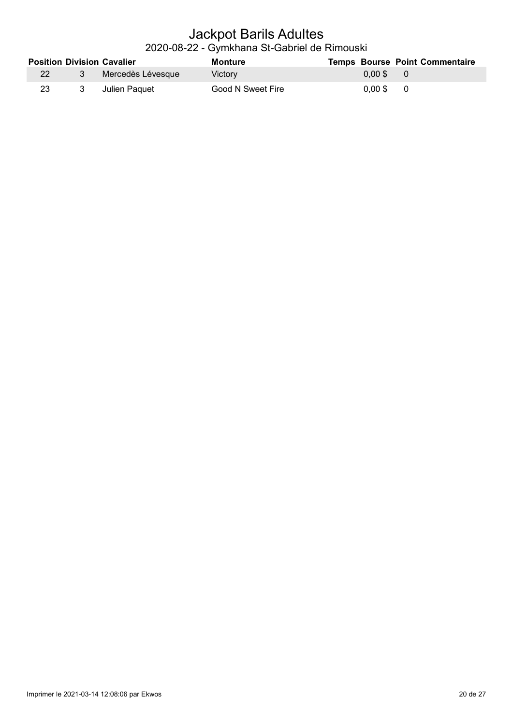#### Jackpot Barils Adultes 2020-08-22 - Gymkhana St-Gabriel de Rimouski

|           |   | <b>Position Division Cavalier</b> | Monture           | <b>Temps Bourse Point Commentaire</b> |  |
|-----------|---|-----------------------------------|-------------------|---------------------------------------|--|
| <b>22</b> | 3 | ⊟ Mercedès Lévesque               | <b>Victory</b>    | $0.00$ \$ 0                           |  |
| 23        | 3 | Julien Paguet                     | Good N Sweet Fire | $0.00$ \$ 0                           |  |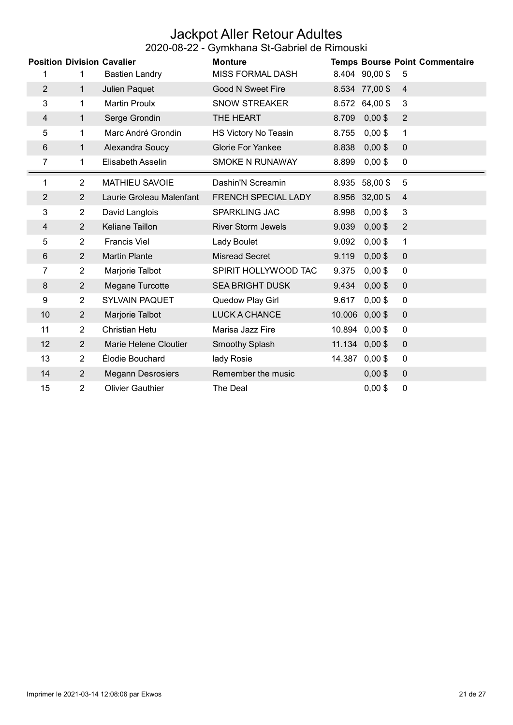#### Jackpot Aller Retour Adultes 2020-08-22 - Gymkhana St-Gabriel de Rimouski

|                |                | ---- -- --                        |                           |        |                |                                       |
|----------------|----------------|-----------------------------------|---------------------------|--------|----------------|---------------------------------------|
|                |                | <b>Position Division Cavalier</b> | <b>Monture</b>            |        |                | <b>Temps Bourse Point Commentaire</b> |
|                | 1              | <b>Bastien Landry</b>             | <b>MISS FORMAL DASH</b>   |        | 8.404 90,00 \$ | 5                                     |
| $\overline{2}$ | $\mathbf{1}$   | Julien Paquet                     | <b>Good N Sweet Fire</b>  |        | 8.534 77,00 \$ | $\overline{4}$                        |
| 3              | 1              | <b>Martin Proulx</b>              | <b>SNOW STREAKER</b>      |        | 8.572 64,00 \$ | 3                                     |
| 4              | $\mathbf{1}$   | Serge Grondin                     | THE HEART                 | 8.709  | $0,00$ \$      | $\overline{2}$                        |
| 5              | 1              | Marc André Grondin                | HS Victory No Teasin      | 8.755  | $0,00$ \$      | $\mathbf{1}$                          |
| 6              | 1              | Alexandra Soucy                   | Glorie For Yankee         | 8.838  | $0,00$ \$      | $\pmb{0}$                             |
| 7              | 1              | Elisabeth Asselin                 | SMOKE N RUNAWAY           | 8.899  | $0,00$ \$      | 0                                     |
| 1              | $\overline{2}$ | <b>MATHIEU SAVOIE</b>             | Dashin'N Screamin         | 8.935  | 58,00\$        | 5                                     |
| $\overline{2}$ | $\overline{2}$ | Laurie Groleau Malenfant          | FRENCH SPECIAL LADY       |        | 8.956 32,00 \$ | $\overline{4}$                        |
| 3              | $\overline{2}$ | David Langlois                    | SPARKLING JAC             | 8.998  | $0,00$ \$      | $\mathbf{3}$                          |
| 4              | $\overline{2}$ | Keliane Taillon                   | <b>River Storm Jewels</b> | 9.039  | $0,00$ \$      | $\overline{2}$                        |
| 5              | $\overline{2}$ | <b>Francis Viel</b>               | Lady Boulet               | 9.092  | $0,00$ \$      | 1                                     |
| $\,6\,$        | $\overline{2}$ | <b>Martin Plante</b>              | <b>Misread Secret</b>     | 9.119  | $0,00$ \$      | $\mathbf 0$                           |
| 7              | $\overline{2}$ | Marjorie Talbot                   | SPIRIT HOLLYWOOD TAC      | 9.375  | $0,00$ \$      | $\mathbf 0$                           |
| 8              | $\overline{2}$ | Megane Turcotte                   | <b>SEA BRIGHT DUSK</b>    | 9.434  | $0,00$ \$      | $\mathbf 0$                           |
| 9              | $\overline{2}$ | <b>SYLVAIN PAQUET</b>             | Quedow Play Girl          | 9.617  | $0,00$ \$      | $\mathbf 0$                           |
| 10             | $\overline{2}$ | Marjorie Talbot                   | <b>LUCK A CHANCE</b>      | 10.006 | $0,00$ \$      | $\mathbf 0$                           |
| 11             | $\overline{2}$ | <b>Christian Hetu</b>             | Marisa Jazz Fire          | 10.894 | $0,00$ \$      | $\mathbf 0$                           |
| 12             | $\overline{2}$ | Marie Helene Cloutier             | Smoothy Splash            |        | 11.134 0,00 \$ | $\mathbf{0}$                          |
| 13             | $\overline{2}$ | Élodie Bouchard                   | lady Rosie                | 14.387 | $0,00$ \$      | 0                                     |
| 14             | $\overline{2}$ | <b>Megann Desrosiers</b>          | Remember the music        |        | $0,00$ \$      | $\pmb{0}$                             |
| 15             | $\overline{2}$ | <b>Olivier Gauthier</b>           | The Deal                  |        | $0,00$ \$      | 0                                     |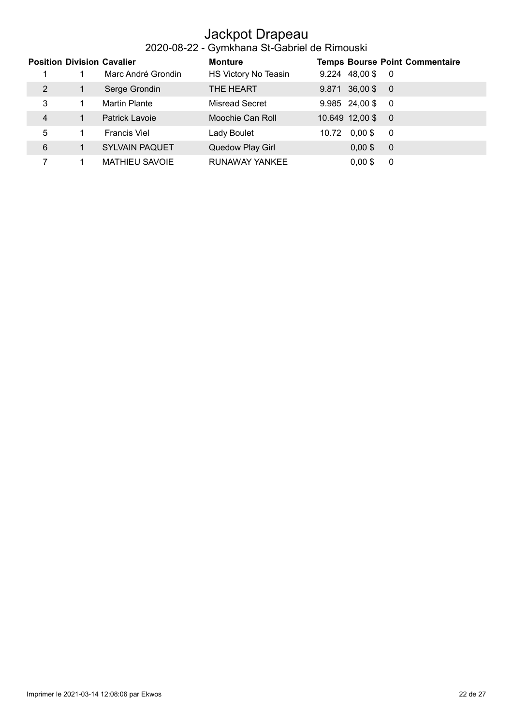### Jackpot Drapeau

#### 2020-08-22 - Gymkhana St-Gabriel de Rimouski

|   |    | <b>Position Division Cavalier</b> | <b>Monture</b>       | <b>Temps Bourse Point Commentaire</b>        |
|---|----|-----------------------------------|----------------------|----------------------------------------------|
|   |    | Marc André Grondin                | HS Victory No Teasin | 48,00\$<br>9.224<br>$\overline{\phantom{0}}$ |
| 2 |    | Serge Grondin                     | THE HEART            | 36,00\$<br>9.871<br>$\overline{\phantom{0}}$ |
| 3 |    | Martin Plante                     | Misread Secret       | $9.985$ 24,00\$<br>- 0                       |
| 4 | 1. | Patrick Lavoie                    | Moochie Can Roll     | 10.649 12,00 \$<br>$\overline{0}$            |
| 5 |    | <b>Francis Viel</b>               | Lady Boulet          | $0.00$ \$<br>10.72<br>- 0                    |
| 6 |    | <b>SYLVAIN PAQUET</b>             | Quedow Play Girl     | $0,00$ \$<br>$\overline{0}$                  |
|   |    | <b>MATHIEU SAVOIE</b>             | RUNAWAY YANKEE       | $0.00$ \$<br>0                               |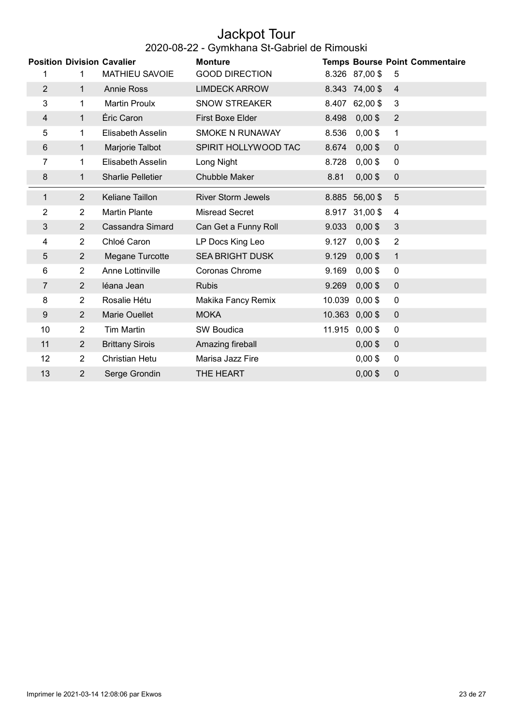#### Jackpot Tour 2020-08-22 - Gymkhana St-Gabriel de Rimouski

| <b>Position Division Cavalier</b> |                |                          | <b>Monture</b>            |        |                | <b>Temps Bourse Point Commentaire</b> |
|-----------------------------------|----------------|--------------------------|---------------------------|--------|----------------|---------------------------------------|
| 1                                 | 1              | <b>MATHIEU SAVOIE</b>    | <b>GOOD DIRECTION</b>     |        | 8.326 87,00 \$ | 5                                     |
| $\overline{2}$                    | $\mathbf{1}$   | <b>Annie Ross</b>        | <b>LIMDECK ARROW</b>      |        | 8.343 74,00 \$ | $\overline{4}$                        |
| 3                                 | $\mathbf{1}$   | <b>Martin Proulx</b>     | <b>SNOW STREAKER</b>      |        | 8.407 62,00 \$ | 3                                     |
| 4                                 | $\mathbf{1}$   | Éric Caron               | First Boxe Elder          | 8.498  | $0,00$ \$      | $\overline{2}$                        |
| 5                                 | $\mathbf{1}$   | Elisabeth Asselin        | <b>SMOKE N RUNAWAY</b>    | 8.536  | $0,00$ \$      | 1                                     |
| $6\phantom{1}$                    | $\mathbf{1}$   | Marjorie Talbot          | SPIRIT HOLLYWOOD TAC      | 8.674  | $0,00$ \$      | $\mathbf 0$                           |
| 7                                 | 1              | Elisabeth Asselin        | Long Night                | 8.728  | $0,00$ \$      | $\pmb{0}$                             |
| 8                                 | 1              | <b>Sharlie Pelletier</b> | <b>Chubble Maker</b>      | 8.81   | $0,00$ \$      | 0                                     |
| $\mathbf{1}$                      | $\overline{2}$ | Keliane Taillon          | <b>River Storm Jewels</b> |        | 8.885 56,00 \$ | 5                                     |
| 2                                 | $\overline{2}$ | <b>Martin Plante</b>     | <b>Misread Secret</b>     |        | 8.917 31,00 \$ | 4                                     |
| 3                                 | $\overline{2}$ | <b>Cassandra Simard</b>  | Can Get a Funny Roll      | 9.033  | $0,00$ \$      | 3                                     |
| 4                                 | $\overline{2}$ | Chloé Caron              | LP Docs King Leo          | 9.127  | $0,00$ \$      | $\overline{2}$                        |
| 5                                 | $\overline{2}$ | Megane Turcotte          | <b>SEA BRIGHT DUSK</b>    | 9.129  | $0,00$ \$      | $\mathbf{1}$                          |
| 6                                 | $\overline{2}$ | Anne Lottinville         | Coronas Chrome            | 9.169  | $0,00$ \$      | $\pmb{0}$                             |
| $\overline{7}$                    | $\overline{2}$ | léana Jean               | <b>Rubis</b>              | 9.269  | $0,00$ \$      | $\pmb{0}$                             |
| 8                                 | $\overline{2}$ | Rosalie Hétu             | Makika Fancy Remix        | 10.039 | $0,00$ \$      | 0                                     |
| $\boldsymbol{9}$                  | $\overline{2}$ | <b>Marie Ouellet</b>     | <b>MOKA</b>               |        | 10.363 0,00 \$ | $\pmb{0}$                             |
| 10                                | $\overline{2}$ | <b>Tim Martin</b>        | SW Boudica                |        | 11.915 0,00 \$ | $\mathbf 0$                           |
| 11                                | $\overline{2}$ | <b>Brittany Sirois</b>   | Amazing fireball          |        | $0,00$ \$      | $\mathbf 0$                           |
| 12                                | $\overline{2}$ | <b>Christian Hetu</b>    | Marisa Jazz Fire          |        | $0,00$ \$      | 0                                     |
| 13                                | 2              | Serge Grondin            | THE HEART                 |        | $0,00$ \$      | 0                                     |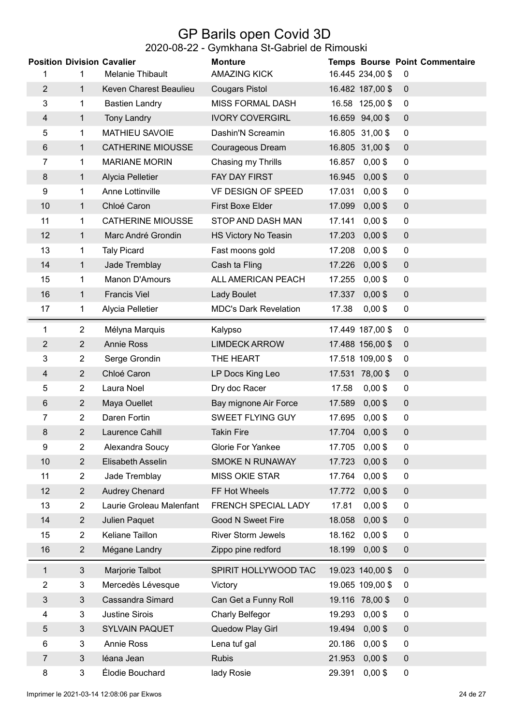## GP Barils open Covid 3D

#### 2020-08-22 - Gymkhana St-Gabriel de Rimouski

| <b>Position Division Cavalier</b> |                |                          | <b>Monture</b>               |                     | <b>Temps Bourse Point Commentaire</b> |
|-----------------------------------|----------------|--------------------------|------------------------------|---------------------|---------------------------------------|
| 1                                 | 1              | <b>Melanie Thibault</b>  | <b>AMAZING KICK</b>          | 16.445 234,00 \$    | $\mathbf 0$                           |
| $\overline{2}$                    | $\mathbf{1}$   | Keven Charest Beaulieu   | <b>Cougars Pistol</b>        | 16.482 187,00 \$    | $\mathbf 0$                           |
| 3                                 | 1              | <b>Bastien Landry</b>    | <b>MISS FORMAL DASH</b>      | 16.58 125,00 \$     | $\mathbf 0$                           |
| 4                                 | 1              | <b>Tony Landry</b>       | <b>IVORY COVERGIRL</b>       | 16.659 94,00 \$     | $\pmb{0}$                             |
| 5                                 | 1              | <b>MATHIEU SAVOIE</b>    | Dashin'N Screamin            | 16.805 31,00 \$     | $\mathbf 0$                           |
| 6                                 | 1              | <b>CATHERINE MIOUSSE</b> | Courageous Dream             | 16.805 31,00 \$     | $\pmb{0}$                             |
| 7                                 | 1              | <b>MARIANE MORIN</b>     | Chasing my Thrills           | 16.857<br>$0,00$ \$ | $\mathbf 0$                           |
| 8                                 | 1              | Alycia Pelletier         | FAY DAY FIRST                | $0,00$ \$<br>16.945 | $\mathbf 0$                           |
| 9                                 | 1              | Anne Lottinville         | VF DESIGN OF SPEED           | $0,00$ \$<br>17.031 | $\mathbf 0$                           |
| 10                                | 1              | Chloé Caron              | First Boxe Elder             | $0,00$ \$<br>17.099 | $\pmb{0}$                             |
| 11                                | 1              | <b>CATHERINE MIOUSSE</b> | STOP AND DASH MAN            | 17.141<br>$0,00$ \$ | $\mathbf 0$                           |
| 12                                | 1              | Marc André Grondin       | HS Victory No Teasin         | 17.203<br>$0,00$ \$ | $\pmb{0}$                             |
| 13                                | 1              | <b>Taly Picard</b>       | Fast moons gold              | 17.208<br>$0,00$ \$ | $\mathbf 0$                           |
| 14                                | $\mathbf{1}$   | Jade Tremblay            | Cash ta Fling                | $0,00$ \$<br>17.226 | $\mathbf 0$                           |
| 15                                | 1              | Manon D'Amours           | ALL AMERICAN PEACH           | $0,00$ \$<br>17.255 | $\mathbf 0$                           |
| 16                                | 1              | <b>Francis Viel</b>      | Lady Boulet                  | $0,00$ \$<br>17.337 | $\pmb{0}$                             |
| 17                                | 1              | Alycia Pelletier         | <b>MDC's Dark Revelation</b> | $0,00$ \$<br>17.38  | 0                                     |
| 1                                 | 2              | Mélyna Marquis           | Kalypso                      | 17.449 187,00 \$    | $\mathbf 0$                           |
| $\overline{2}$                    | $\overline{2}$ | <b>Annie Ross</b>        | <b>LIMDECK ARROW</b>         | 17.488 156,00 \$    | $\mathbf 0$                           |
| 3                                 | $\overline{2}$ | Serge Grondin            | THE HEART                    | 17.518 109,00 \$    | $\mathbf 0$                           |
| 4                                 | 2              | Chloé Caron              | LP Docs King Leo             | 17.531<br>78,00\$   | $\mathbf 0$                           |
| 5                                 | $\overline{2}$ | Laura Noel               | Dry doc Racer                | $0,00$ \$<br>17.58  | 0                                     |
| 6                                 | $\overline{2}$ | Maya Ouellet             | Bay mignone Air Force        | $0,00$ \$<br>17.589 | $\mathbf 0$                           |
| 7                                 | $\overline{2}$ | Daren Fortin             | <b>SWEET FLYING GUY</b>      | 17.695<br>$0,00$ \$ | $\mathbf 0$                           |
| 8                                 | $\overline{2}$ | Laurence Cahill          | <b>Takin Fire</b>            | $0,00$ \$<br>17.704 | $\pmb{0}$                             |
| 9                                 | $\overline{2}$ | Alexandra Soucy          | <b>Glorie For Yankee</b>     | 17.705<br>$0,00$ \$ | 0                                     |
| 10                                | $\overline{2}$ | Elisabeth Asselin        | SMOKE N RUNAWAY              | 17.723<br>$0,00$ \$ | $\pmb{0}$                             |
| 11                                | $\overline{2}$ | Jade Tremblay            | <b>MISS OKIE STAR</b>        | $0,00$ \$<br>17.764 | $\pmb{0}$                             |
| 12                                | $\overline{2}$ | <b>Audrey Chenard</b>    | FF Hot Wheels                | 17.772<br>$0,00$ \$ | $\mathbf 0$                           |
| 13                                | $\overline{2}$ | Laurie Groleau Malenfant | <b>FRENCH SPECIAL LADY</b>   | 17.81<br>$0,00$ \$  | $\overline{0}$                        |
| 14                                | $\overline{2}$ | Julien Paquet            | Good N Sweet Fire            | $0,00$ \$<br>18.058 | $\overline{0}$                        |
| 15                                | $\overline{2}$ | Keliane Taillon          | <b>River Storm Jewels</b>    | 18.162<br>$0,00$ \$ | $\overline{0}$                        |
| 16                                | $\overline{2}$ | Mégane Landry            | Zippo pine redford           | 18.199<br>$0,00$ \$ | $\pmb{0}$                             |
| 1                                 | 3              | Marjorie Talbot          | SPIRIT HOLLYWOOD TAC         | 19.023 140,00 \$    | $\mathbf 0$                           |
| $\overline{2}$                    | 3              | Mercedès Lévesque        | Victory                      | 19.065 109,00 \$    | $\overline{0}$                        |
| 3                                 | 3              | <b>Cassandra Simard</b>  | Can Get a Funny Roll         | 19.116 78,00 \$     | $\overline{0}$                        |
| 4                                 | 3              | <b>Justine Sirois</b>    | <b>Charly Belfegor</b>       | $0,00$ \$<br>19.293 | $\mathbf 0$                           |
| 5                                 | 3              | <b>SYLVAIN PAQUET</b>    | Quedow Play Girl             | $0,00$ \$<br>19.494 | $\overline{0}$                        |
| 6                                 | $\overline{3}$ | <b>Annie Ross</b>        | Lena tuf gal                 | 20.186<br>$0,00$ \$ | $\overline{0}$                        |
| $\overline{7}$                    | 3              | léana Jean               | <b>Rubis</b>                 | 21.953<br>$0,00$ \$ | $\mathbf 0$                           |
| 8                                 | 3              | Élodie Bouchard          | lady Rosie                   | 29.391<br>$0,00$ \$ | $\mathbf 0$                           |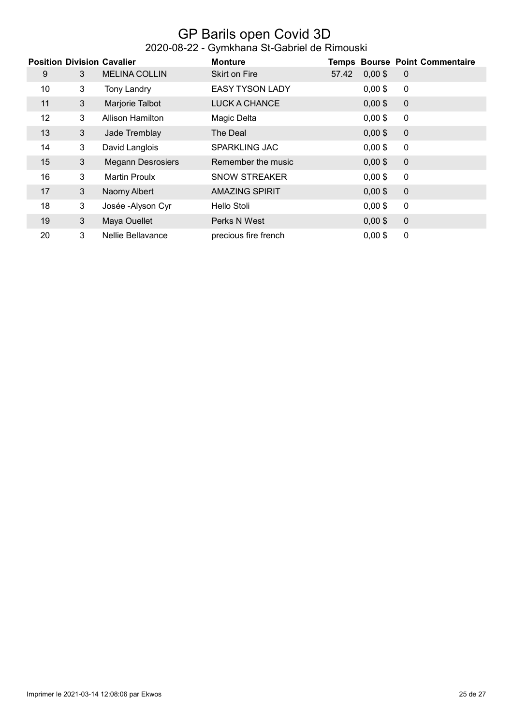#### GP Barils open Covid 3D 2020-08-22 - Gymkhana St-Gabriel de Rimouski

|                   |                | <b>Position Division Cavalier</b> | <b>Monture</b>         |       |           | <b>Temps Bourse Point Commentaire</b> |
|-------------------|----------------|-----------------------------------|------------------------|-------|-----------|---------------------------------------|
| 9                 | 3              | <b>MELINA COLLIN</b>              | <b>Skirt on Fire</b>   | 57.42 | $0,00$ \$ | $\overline{0}$                        |
| 10                | 3              | <b>Tony Landry</b>                | <b>EASY TYSON LADY</b> |       | $0,00$ \$ | $\mathbf 0$                           |
| 11                | 3              | Marjorie Talbot                   | <b>LUCK A CHANCE</b>   |       | $0,00$ \$ | $\overline{0}$                        |
| $12 \overline{ }$ | 3              | <b>Allison Hamilton</b>           | Magic Delta            |       | $0,00$ \$ | $\mathbf 0$                           |
| 13                | 3 <sup>5</sup> | Jade Tremblay                     | The Deal               |       | $0,00$ \$ | $\overline{0}$                        |
| 14                | 3              | David Langlois                    | <b>SPARKLING JAC</b>   |       | $0,00$ \$ | $\mathbf 0$                           |
| 15                | 3              | <b>Megann Desrosiers</b>          | Remember the music     |       | $0,00$ \$ | $\overline{0}$                        |
| 16                | 3              | <b>Martin Proulx</b>              | <b>SNOW STREAKER</b>   |       | $0,00$ \$ | $\mathbf 0$                           |
| 17                | 3              | Naomy Albert                      | <b>AMAZING SPIRIT</b>  |       | $0,00$ \$ | $\overline{0}$                        |
| 18                | 3              | Josée - Alyson Cyr                | Hello Stoli            |       | $0,00$ \$ | $\mathbf 0$                           |
| 19                | $\mathbf{3}$   | Maya Ouellet                      | Perks N West           |       | $0,00$ \$ | $\mathbf{0}$                          |
| 20                | 3              | <b>Nellie Bellavance</b>          | precious fire french   |       | $0,00$ \$ | 0                                     |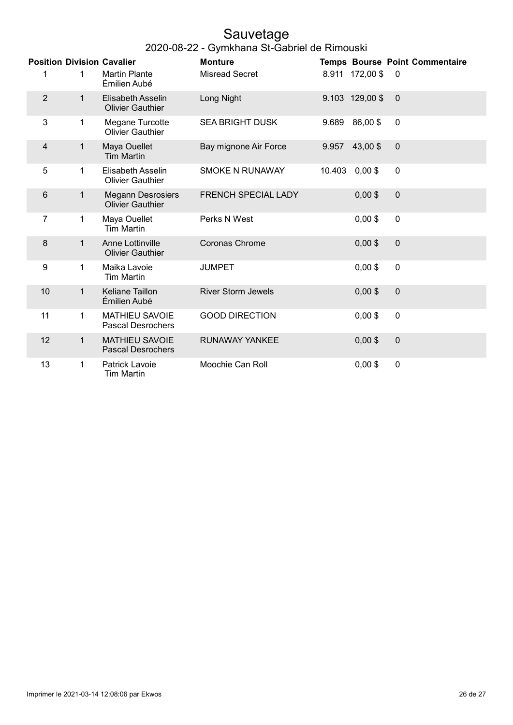# Sauvetage

|  | 2020-08-22 - Gymkhana St-Gabriel de Rimouski |
|--|----------------------------------------------|
|--|----------------------------------------------|

|                |              | <b>Position Division Cavalier</b>                   | <b>Monture</b>            |        |                 | <b>Temps Bourse Point Commentaire</b> |
|----------------|--------------|-----------------------------------------------------|---------------------------|--------|-----------------|---------------------------------------|
| 1              | 1            | <b>Martin Plante</b><br>Émilien Aubé                | <b>Misread Secret</b>     |        | 8.911 172,00 \$ | 0                                     |
| $\overline{2}$ | $\mathbf 1$  | <b>Elisabeth Asselin</b><br><b>Olivier Gauthier</b> | Long Night                |        | 9.103 129,00 \$ | $\mathbf 0$                           |
| 3              | 1            | Megane Turcotte<br><b>Olivier Gauthier</b>          | <b>SEA BRIGHT DUSK</b>    | 9.689  | 86,00\$         | $\mathbf 0$                           |
| $\overline{4}$ | 1            | Maya Ouellet<br><b>Tim Martin</b>                   | Bay mignone Air Force     | 9.957  | 43,00\$         | $\mathbf 0$                           |
| 5              | 1            | <b>Elisabeth Asselin</b><br><b>Olivier Gauthier</b> | <b>SMOKE N RUNAWAY</b>    | 10.403 | $0,00$ \$       | $\mathbf 0$                           |
| 6              | 1            | <b>Megann Desrosiers</b><br><b>Olivier Gauthier</b> | FRENCH SPECIAL LADY       |        | $0,00$ \$       | $\mathbf 0$                           |
| 7              | 1            | Maya Ouellet<br><b>Tim Martin</b>                   | Perks N West              |        | $0,00$ \$       | $\mathbf 0$                           |
| 8              | 1            | Anne Lottinville<br><b>Olivier Gauthier</b>         | Coronas Chrome            |        | $0,00$ \$       | $\mathbf 0$                           |
| 9              | 1            | Maika Lavoie<br><b>Tim Martin</b>                   | <b>JUMPET</b>             |        | $0,00$ \$       | $\mathbf 0$                           |
| 10             | $\mathbf{1}$ | <b>Keliane Taillon</b><br>Émilien Aubé              | <b>River Storm Jewels</b> |        | $0,00$ \$       | $\mathbf 0$                           |
| 11             | 1            | <b>MATHIEU SAVOIE</b><br><b>Pascal Desrochers</b>   | <b>GOOD DIRECTION</b>     |        | $0,00$ \$       | $\mathbf 0$                           |
| 12             | $\mathbf{1}$ | <b>MATHIEU SAVOIE</b><br><b>Pascal Desrochers</b>   | <b>RUNAWAY YANKEE</b>     |        | $0,00$ \$       | $\mathbf 0$                           |
| 13             | 1            | Patrick Lavoie<br><b>Tim Martin</b>                 | Moochie Can Roll          |        | $0,00$ \$       | $\mathbf 0$                           |